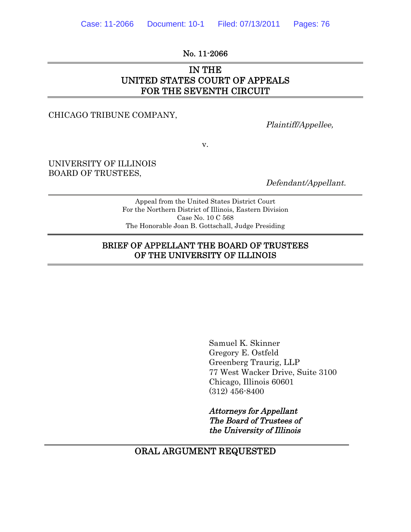No. 11-2066

# IN THE UNITED STATES COURT OF APPEALS FOR THE SEVENTH CIRCUIT

CHICAGO TRIBUNE COMPANY,

Plaintiff/Appellee,

v.

UNIVERSITY OF ILLINOIS BOARD OF TRUSTEES,

Defendant/Appellant.

Appeal from the United States District Court For the Northern District of Illinois, Eastern Division Case No. 10 C 568 The Honorable Joan B. Gottschall, Judge Presiding

#### BRIEF OF APPELLANT THE BOARD OF TRUSTEES OF THE UNIVERSITY OF ILLINOIS

Samuel K. Skinner Gregory E. Ostfeld Greenberg Traurig, LLP 77 West Wacker Drive, Suite 3100 Chicago, Illinois 60601 (312) 456-8400

Attorneys for Appellant The Board of Trustees of the University of Illinois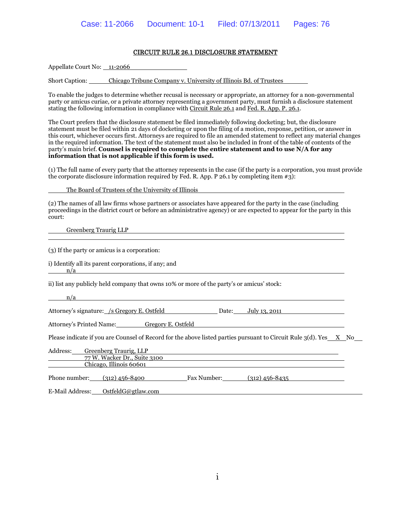#### CIRCUIT RULE 26.1 DISCLOSURE STATEMENT

Appellate Court No: 11-2066

Short Caption: Chicago Tribune Company v. University of Illinois Bd. of Trustees

To enable the judges to determine whether recusal is necessary or appropriate, an attorney for a non-governmental party or amicus curiae, or a private attorney representing a government party, must furnish a disclosure statement stating the following information in compliance with Circuit Rule 26.1 and Fed. R. App. P. 26.1.

The Court prefers that the disclosure statement be filed immediately following docketing; but, the disclosure statement must be filed within 21 days of docketing or upon the filing of a motion, response, petition, or answer in this court, whichever occurs first. Attorneys are required to file an amended statement to reflect any material changes in the required information. The text of the statement must also be included in front of the table of contents of the party's main brief. **Counsel is required to complete the entire statement and to use N/A for any information that is not applicable if this form is used.**

(1) The full name of every party that the attorney represents in the case (if the party is a corporation, you must provide the corporate disclosure information required by Fed. R. App. P 26.1 by completing item  $\#3$ ):

The Board of Trustees of the University of Illinois

(2) The names of all law firms whose partners or associates have appeared for the party in the case (including proceedings in the district court or before an administrative agency) or are expected to appear for the party in this court:

Greenberg Traurig LLP

(3) If the party or amicus is a corporation:

i) Identify all its parent corporations, if any; and n/a

ii) list any publicly held company that owns 10% or more of the party's or amicus' stock:

n/a

Attorney's signature: /s Gregory E. Ostfeld Date: July 13, 2011

Attorney's Printed Name: Gregory E. Ostfeld

Please indicate if you are Counsel of Record for the above listed parties pursuant to Circuit Rule  $3(d)$ . Yes  $X$  No

| Address:                | Greenberg Traurig, LLP       |             |                  |  |  |
|-------------------------|------------------------------|-------------|------------------|--|--|
|                         | 77 W. Wacker Dr., Suite 3100 |             |                  |  |  |
| Chicago, Illinois 60601 |                              |             |                  |  |  |
| Phone number:           | (312) 456-8400               | Fax Number: | $(312)$ 456-8435 |  |  |
| E-Mail Address:         | OstfeldG@gtlaw.com           |             |                  |  |  |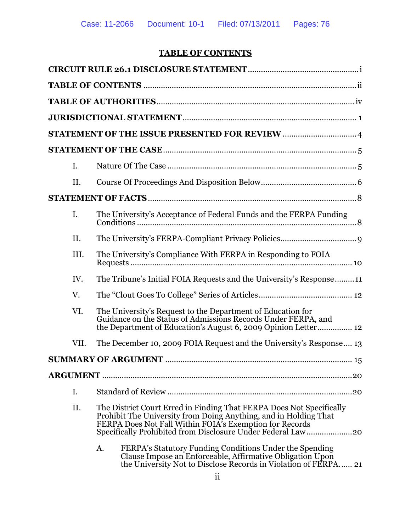# **TABLE OF CONTENTS**

| I.   |    |                                                                                                                                                                                                                                                                    |
|------|----|--------------------------------------------------------------------------------------------------------------------------------------------------------------------------------------------------------------------------------------------------------------------|
| II.  |    |                                                                                                                                                                                                                                                                    |
|      |    |                                                                                                                                                                                                                                                                    |
| I.   |    | The University's Acceptance of Federal Funds and the FERPA Funding                                                                                                                                                                                                 |
| II.  |    |                                                                                                                                                                                                                                                                    |
| III. |    | The University's Compliance With FERPA in Responding to FOIA                                                                                                                                                                                                       |
| IV.  |    | The Tribune's Initial FOIA Requests and the University's Response11                                                                                                                                                                                                |
| V.   |    |                                                                                                                                                                                                                                                                    |
| VI.  |    | The University's Request to the Department of Education for<br>Guidance on the Status of Admissions Records Under FERPA, and<br>the Department of Education's August 6, 2009 Opinion Letter 12                                                                     |
| VII. |    | The December 10, 2009 FOIA Request and the University's Response 13                                                                                                                                                                                                |
|      |    |                                                                                                                                                                                                                                                                    |
|      |    |                                                                                                                                                                                                                                                                    |
| I.   |    | .20                                                                                                                                                                                                                                                                |
| II.  |    | The District Court Erred in Finding That FERPA Does Not Specifically<br>Prohibit The University from Doing Anything, and in Holding That<br>FERPA Does Not Fall Within FOIA's Exemption for Records<br>Specifically Prohibited from Disclosure Under Federal Law20 |
|      | A. | FERPA's Statutory Funding Conditions Under the Spending<br>Clause Impose an Enforceable, Affirmative Obligation Upon<br>the University Not to Disclose Records in Violation of FERPA 21                                                                            |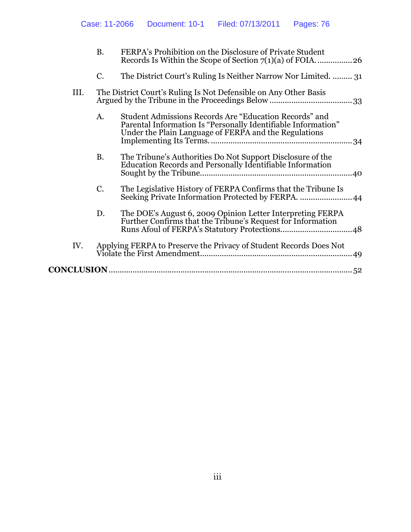|      | <b>B.</b>                                                        | FERPA's Prohibition on the Disclosure of Private Student                                                                                                                         |
|------|------------------------------------------------------------------|----------------------------------------------------------------------------------------------------------------------------------------------------------------------------------|
|      | C.                                                               | The District Court's Ruling Is Neither Narrow Nor Limited.  31                                                                                                                   |
| III. | The District Court's Ruling Is Not Defensible on Any Other Basis |                                                                                                                                                                                  |
|      | A.                                                               | Student Admissions Records Are "Education Records" and<br>Parental Information Is "Personally Identifiable Information"<br>Under the Plain Language of FERPA and the Regulations |
|      | <b>B.</b>                                                        | The Tribune's Authorities Do Not Support Disclosure of the<br>Education Records and Personally Identifiable Information<br>.40                                                   |
|      | C.                                                               | The Legislative History of FERPA Confirms that the Tribune Is<br>Seeking Private Information Protected by FERPA.<br>.44                                                          |
|      | D.                                                               | The DOE's August 6, 2009 Opinion Letter Interpreting FERPA<br>Further Confirms that the Tribune's Request for Information                                                        |
| IV.  |                                                                  | Applying FERPA to Preserve the Privacy of Student Records Does Not                                                                                                               |
|      |                                                                  |                                                                                                                                                                                  |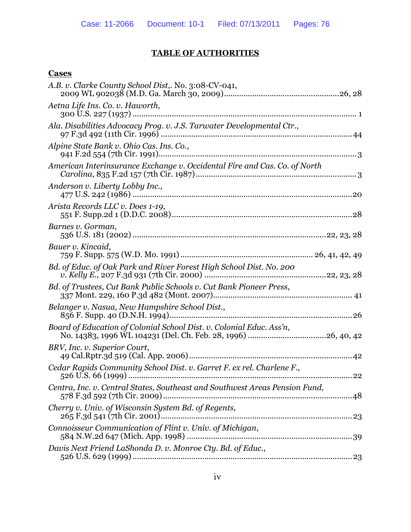# **TABLE OF AUTHORITIES**

### **Cases**

| A.B. v. Clarke County School Dist,. No. 3:08-CV-041,                        |
|-----------------------------------------------------------------------------|
| Aetna Life Ins. Co. v. Haworth,                                             |
| Ala. Disabilities Advocacy Prog. v. J.S. Tarwater Developmental Ctr.,       |
| Alpine State Bank v. Ohio Cas. Ins. Co.,                                    |
| American Interinsurance Exchange v. Occidental Fire and Cas. Co. of North   |
| Anderson v. Liberty Lobby Inc.,                                             |
| Arista Records LLC v. Does 1-19,                                            |
| Barnes v. Gorman,                                                           |
| Bauer v. Kincaid,                                                           |
| Bd. of Educ. of Oak Park and River Forest High School Dist. No. 200         |
| Bd. of Trustees, Cut Bank Public Schools v. Cut Bank Pioneer Press,         |
| Belanger v. Nasua, New Hampshire School Dist.,                              |
| Board of Education of Colonial School Dist. v. Colonial Educ. Ass'n,        |
| BRV, Inc. v. Superior Court,                                                |
| Cedar Rapids Community School Dist. v. Garret F. ex rel. Charlene F.,       |
| Centra, Inc. v. Central States, Southeast and Southwest Areas Pension Fund, |
| Cherry v. Univ. of Wisconsin System Bd. of Regents,                         |
| Connoisseur Communication of Flint v. Univ. of Michigan,                    |
| Davis Next Friend LaShonda D. v. Monroe Cty. Bd. of Educ.,                  |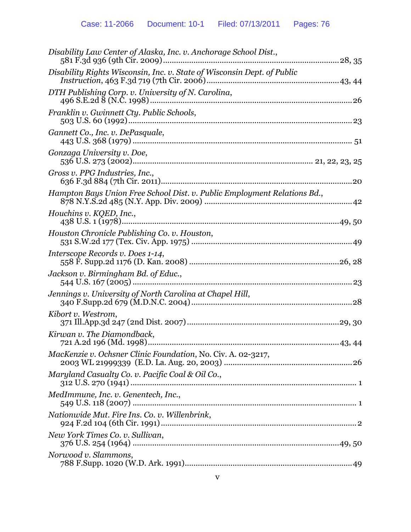| Disability Law Center of Alaska, Inc. v. Anchorage School Dist.,         |
|--------------------------------------------------------------------------|
| Disability Rights Wisconsin, Inc. v. State of Wisconsin Dept. of Public  |
| DTH Publishing Corp. v. University of N. Carolina,                       |
| Franklin v. Gwinnett Cty. Public Schools,                                |
| Gannett Co., Inc. v. DePasquale,                                         |
| Gonzaga University v. Doe,                                               |
| Gross v. PPG Industries, Inc.,                                           |
| Hampton Bays Union Free School Dist. v. Public Employment Relations Bd., |
| Houchins v. KQED, Inc.,                                                  |
| Houston Chronicle Publishing Co. v. Houston,                             |
| Interscope Records v. Does 1-14,                                         |
| Jackson v. Birmingham Bd. of Educ.,                                      |
| Jennings v. University of North Carolina at Chapel Hill,                 |
| Kibort v. Westrom,                                                       |
| Kirwan v. The Diamondback,                                               |
| MacKenzie v. Ochsner Clinic Foundation, No. Civ. A. 02-3217,             |
| Maryland Casualty Co. v. Pacific Coal & Oil Co.,                         |
| MedImmune, Inc. v. Genentech, Inc.,                                      |
| Nationwide Mut. Fire Ins. Co. v. Willenbrink,                            |
| New York Times Co. v. Sullivan,                                          |
| Norwood v. Slammons,                                                     |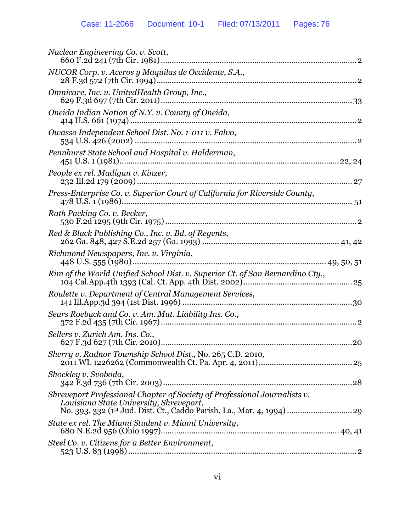| Nuclear Engineering Co. v. Scott,                                                                                                                                                              |
|------------------------------------------------------------------------------------------------------------------------------------------------------------------------------------------------|
| NUCOR Corp. v. Aceros y Maquilas de Occidente, S.A.,                                                                                                                                           |
| Omnicare, Inc. v. UnitedHealth Group, Inc.,                                                                                                                                                    |
| Oneida Indian Nation of N.Y. v. County of Oneida,                                                                                                                                              |
| Owasso Independent School Dist. No. 1-011 v. Falvo,                                                                                                                                            |
| Pennhurst State School and Hospital v. Halderman,                                                                                                                                              |
| People ex rel. Madigan v. Kinzer,                                                                                                                                                              |
| Press-Enterprise Co. v. Superior Court of California for Riverside County,                                                                                                                     |
| Rath Packing Co. v. Becker,                                                                                                                                                                    |
| Red & Black Publishing Co., Inc. v. Bd. of Regents,                                                                                                                                            |
| Richmond Newspapers, Inc. v. Virginia,                                                                                                                                                         |
| Rim of the World Unified School Dist. v. Superior Ct. of San Bernardino Cty.,                                                                                                                  |
| Roulette v. Department of Central Management Services,                                                                                                                                         |
| Sears Roebuck and Co. v. Am. Mut. Liability Ins. Co.,                                                                                                                                          |
| Sellers v. Zurich Am. Ins. Co.,                                                                                                                                                                |
| Sherry v. Radnor Township School Dist., No. 265 C.D. 2010,                                                                                                                                     |
| Shockley v. Svoboda,                                                                                                                                                                           |
| Shreveport Professional Chapter of Society of Professional Journalists v.<br>Louisiana State University, Shreveport,<br>No. 393, 332 (1st Jud. Dist. Ct., Caddo Parish, La., Mar. 4, 1994)  29 |
| State ex rel. The Miami Student v. Miami University,                                                                                                                                           |
| Steel Co. v. Citizens for a Better Environment,                                                                                                                                                |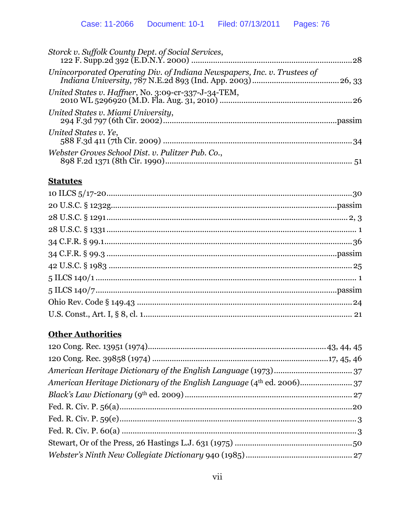| Storck v. Suffolk County Dept. of Social Services,                       |  |
|--------------------------------------------------------------------------|--|
| Unincorporated Operating Div. of Indiana Newspapers, Inc. v. Trustees of |  |
| United States v. Haffner, No. 3:09-cr-337-J-34-TEM,                      |  |
| United States v. Miami University,                                       |  |
| United States v. Ye,                                                     |  |
| Webster Groves School Dist. v. Pulitzer Pub. Co.,                        |  |
|                                                                          |  |

# **Statutes**

# **Other Authorities**

| American Heritage Dictionary of the English Language (4 <sup>th</sup> ed. 2006)37 |  |
|-----------------------------------------------------------------------------------|--|
|                                                                                   |  |
|                                                                                   |  |
|                                                                                   |  |
|                                                                                   |  |
|                                                                                   |  |
|                                                                                   |  |
|                                                                                   |  |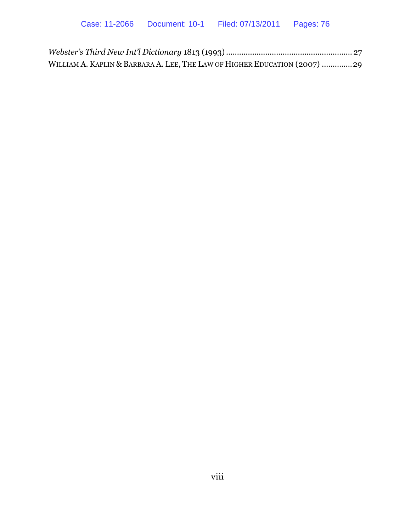| WILLIAM A. KAPLIN & BARBARA A. LEE, THE LAW OF HIGHER EDUCATION (2007) 29 |  |
|---------------------------------------------------------------------------|--|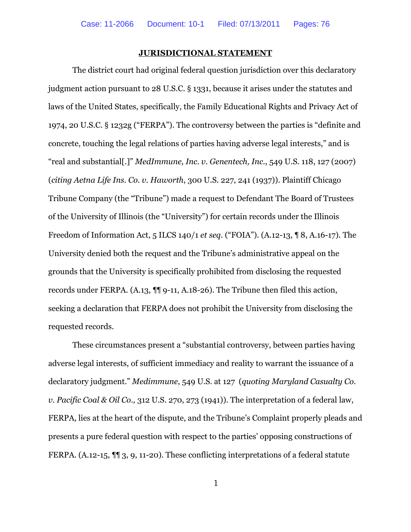#### **JURISDICTIONAL STATEMENT**

The district court had original federal question jurisdiction over this declaratory judgment action pursuant to 28 U.S.C. § 1331, because it arises under the statutes and laws of the United States, specifically, the Family Educational Rights and Privacy Act of 1974, 20 U.S.C. § 1232g ("FERPA"). The controversy between the parties is "definite and concrete, touching the legal relations of parties having adverse legal interests," and is "real and substantial[.]" *MedImmune, Inc. v. Genentech, Inc.*, 549 U.S. 118, 127 (2007) (*citing Aetna Life Ins. Co. v. Haworth*, 300 U.S. 227, 241 (1937)). Plaintiff Chicago Tribune Company (the "Tribune") made a request to Defendant The Board of Trustees of the University of Illinois (the "University") for certain records under the Illinois Freedom of Information Act, 5 ILCS 140/1 *et seq*. ("FOIA"). (A.12-13, ¶ 8, A.16-17). The University denied both the request and the Tribune's administrative appeal on the grounds that the University is specifically prohibited from disclosing the requested records under FERPA. (A.13, ¶¶ 9-11, A.18-26). The Tribune then filed this action, seeking a declaration that FERPA does not prohibit the University from disclosing the requested records.

These circumstances present a "substantial controversy, between parties having adverse legal interests, of sufficient immediacy and reality to warrant the issuance of a declaratory judgment." *Medimmune*, 549 U.S. at 127 (*quoting Maryland Casualty Co. v. Pacific Coal & Oil Co.,* 312 U.S. 270, 273 (1941)). The interpretation of a federal law, FERPA, lies at the heart of the dispute, and the Tribune's Complaint properly pleads and presents a pure federal question with respect to the parties' opposing constructions of FERPA. (A.12-15, ¶¶ 3, 9, 11-20). These conflicting interpretations of a federal statute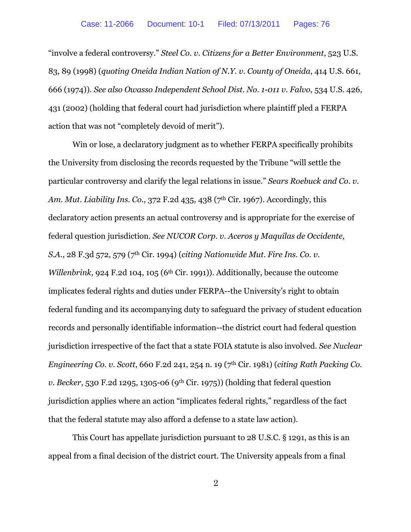"involve a federal controversy." *Steel Co. v. Citizens for a Better Environment*, 523 U.S. 83, 89 (1998) (*quoting Oneida Indian Nation of N.Y. v. County of Oneida*, 414 U.S. 661, 666 (1974)). *See also Owasso Independent School Dist. No. 1-011 v. Falvo*, 534 U.S. 426, 431 (2002) (holding that federal court had jurisdiction where plaintiff pled a FERPA action that was not "completely devoid of merit").

Win or lose, a declaratory judgment as to whether FERPA specifically prohibits the University from disclosing the records requested by the Tribune "will settle the particular controversy and clarify the legal relations in issue." *Sears Roebuck and Co. v. Am. Mut. Liability Ins. Co.*, 372 F.2d 435, 438 (7th Cir. 1967). Accordingly, this declaratory action presents an actual controversy and is appropriate for the exercise of federal question jurisdiction. *See NUCOR Corp. v. Aceros y Maquilas de Occidente, S.A.*, 28 F.3d 572, 579 (7th Cir. 1994) (*citing Nationwide Mut. Fire Ins. Co. v. Willenbrink*, 924 F.2d 104, 105 (6<sup>th</sup> Cir. 1991)). Additionally, because the outcome implicates federal rights and duties under FERPA--the University's right to obtain federal funding and its accompanying duty to safeguard the privacy of student education records and personally identifiable information--the district court had federal question jurisdiction irrespective of the fact that a state FOIA statute is also involved. *See Nuclear Engineering Co. v. Scott*, 660 F.2d 241, 254 n. 19 (7th Cir. 1981) (*citing Rath Packing Co. v. Becker*, 530 F.2d 1295, 1305-06 (9th Cir. 1975)) (holding that federal question jurisdiction applies where an action "implicates federal rights," regardless of the fact that the federal statute may also afford a defense to a state law action).

This Court has appellate jurisdiction pursuant to 28 U.S.C. § 1291, as this is an appeal from a final decision of the district court. The University appeals from a final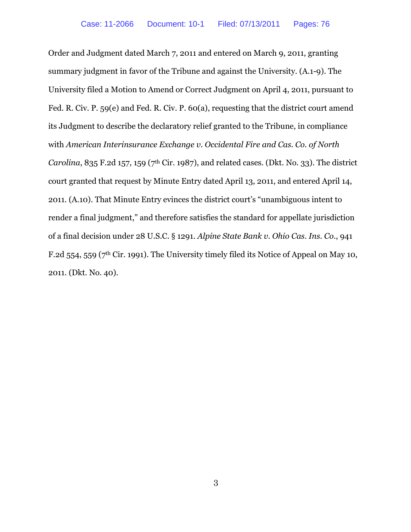Order and Judgment dated March 7, 2011 and entered on March 9, 2011, granting summary judgment in favor of the Tribune and against the University. (A.1-9). The University filed a Motion to Amend or Correct Judgment on April 4, 2011, pursuant to Fed. R. Civ. P. 59(e) and Fed. R. Civ. P. 60(a), requesting that the district court amend its Judgment to describe the declaratory relief granted to the Tribune, in compliance with *American Interinsurance Exchange v. Occidental Fire and Cas. Co. of North Carolina*, 835 F.2d 157, 159 (7th Cir. 1987), and related cases. (Dkt. No. 33). The district court granted that request by Minute Entry dated April 13, 2011, and entered April 14, 2011. (A.10). That Minute Entry evinces the district court's "unambiguous intent to render a final judgment," and therefore satisfies the standard for appellate jurisdiction of a final decision under 28 U.S.C. § 1291. *Alpine State Bank v. Ohio Cas. Ins. Co.*, 941 F.2d 554, 559 ( $7<sup>th</sup>$  Cir. 1991). The University timely filed its Notice of Appeal on May 10, 2011. (Dkt. No. 40).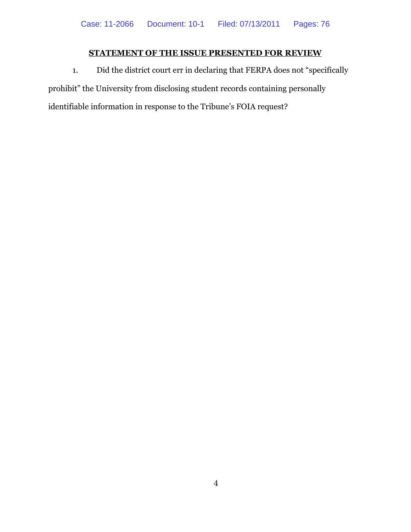# **STATEMENT OF THE ISSUE PRESENTED FOR REVIEW**

1. Did the district court err in declaring that FERPA does not "specifically prohibit" the University from disclosing student records containing personally identifiable information in response to the Tribune's FOIA request?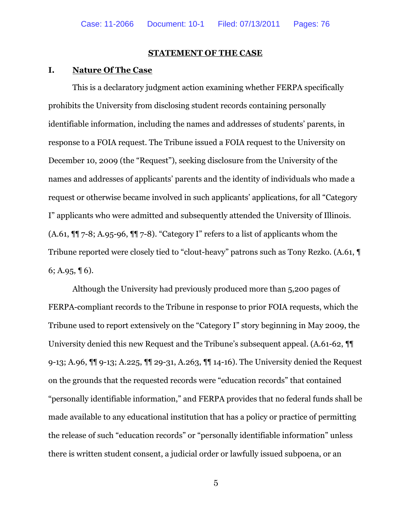#### **STATEMENT OF THE CASE**

#### **I. Nature Of The Case**

This is a declaratory judgment action examining whether FERPA specifically prohibits the University from disclosing student records containing personally identifiable information, including the names and addresses of students' parents, in response to a FOIA request. The Tribune issued a FOIA request to the University on December 10, 2009 (the "Request"), seeking disclosure from the University of the names and addresses of applicants' parents and the identity of individuals who made a request or otherwise became involved in such applicants' applications, for all "Category I" applicants who were admitted and subsequently attended the University of Illinois. (A.61, ¶¶ 7-8; A.95-96, ¶¶ 7-8). "Category I" refers to a list of applicants whom the Tribune reported were closely tied to "clout-heavy" patrons such as Tony Rezko. (A.61, ¶ 6; A.95,  $\P$  6).

Although the University had previously produced more than 5,200 pages of FERPA-compliant records to the Tribune in response to prior FOIA requests, which the Tribune used to report extensively on the "Category I" story beginning in May 2009, the University denied this new Request and the Tribune's subsequent appeal. (A.61-62, ¶¶ 9-13; A.96, ¶¶ 9-13; A.225, ¶¶ 29-31, A.263, ¶¶ 14-16). The University denied the Request on the grounds that the requested records were "education records" that contained "personally identifiable information," and FERPA provides that no federal funds shall be made available to any educational institution that has a policy or practice of permitting the release of such "education records" or "personally identifiable information" unless there is written student consent, a judicial order or lawfully issued subpoena, or an

5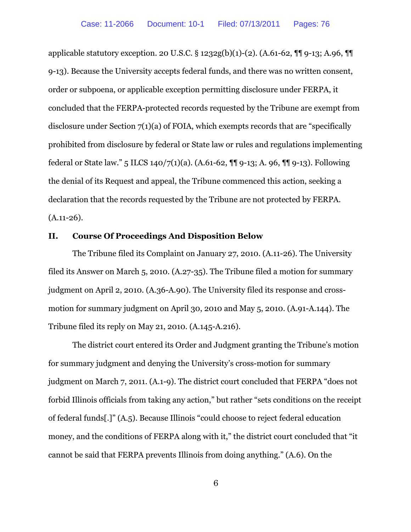applicable statutory exception. 20 U.S.C. § 1232g(b)(1)-(2). (A.61-62, ¶¶ 9-13; A.96, ¶¶ 9-13). Because the University accepts federal funds, and there was no written consent, order or subpoena, or applicable exception permitting disclosure under FERPA, it concluded that the FERPA-protected records requested by the Tribune are exempt from disclosure under Section  $7(1)(a)$  of FOIA, which exempts records that are "specifically prohibited from disclosure by federal or State law or rules and regulations implementing federal or State law." 5 ILCS 140/7(1)(a). (A.61-62, ¶¶ 9-13; A. 96, ¶¶ 9-13). Following the denial of its Request and appeal, the Tribune commenced this action, seeking a declaration that the records requested by the Tribune are not protected by FERPA.  $(A.11-26).$ 

#### **II. Course Of Proceedings And Disposition Below**

The Tribune filed its Complaint on January 27, 2010. (A.11-26). The University filed its Answer on March 5, 2010. (A.27-35). The Tribune filed a motion for summary judgment on April 2, 2010. (A.36-A.90). The University filed its response and crossmotion for summary judgment on April 30, 2010 and May 5, 2010. (A.91-A.144). The Tribune filed its reply on May 21, 2010. (A.145-A.216).

The district court entered its Order and Judgment granting the Tribune's motion for summary judgment and denying the University's cross-motion for summary judgment on March 7, 2011. (A.1-9). The district court concluded that FERPA "does not forbid Illinois officials from taking any action," but rather "sets conditions on the receipt of federal funds[.]" (A.5). Because Illinois "could choose to reject federal education money, and the conditions of FERPA along with it," the district court concluded that "it cannot be said that FERPA prevents Illinois from doing anything." (A.6). On the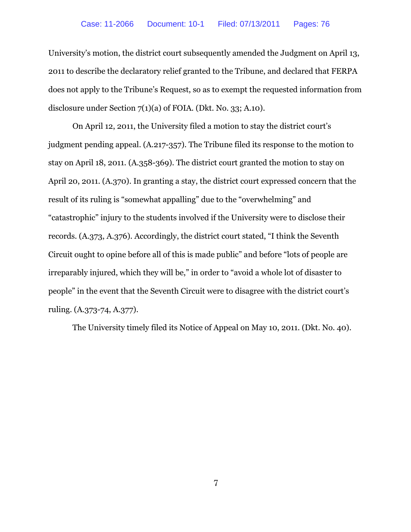University's motion, the district court subsequently amended the Judgment on April 13, 2011 to describe the declaratory relief granted to the Tribune, and declared that FERPA does not apply to the Tribune's Request, so as to exempt the requested information from disclosure under Section 7(1)(a) of FOIA. (Dkt. No. 33; A.10).

On April 12, 2011, the University filed a motion to stay the district court's judgment pending appeal. (A.217-357). The Tribune filed its response to the motion to stay on April 18, 2011. (A.358-369). The district court granted the motion to stay on April 20, 2011. (A.370). In granting a stay, the district court expressed concern that the result of its ruling is "somewhat appalling" due to the "overwhelming" and "catastrophic" injury to the students involved if the University were to disclose their records. (A.373, A.376). Accordingly, the district court stated, "I think the Seventh Circuit ought to opine before all of this is made public" and before "lots of people are irreparably injured, which they will be," in order to "avoid a whole lot of disaster to people" in the event that the Seventh Circuit were to disagree with the district court's ruling. (A.373-74, A.377).

The University timely filed its Notice of Appeal on May 10, 2011. (Dkt. No. 40).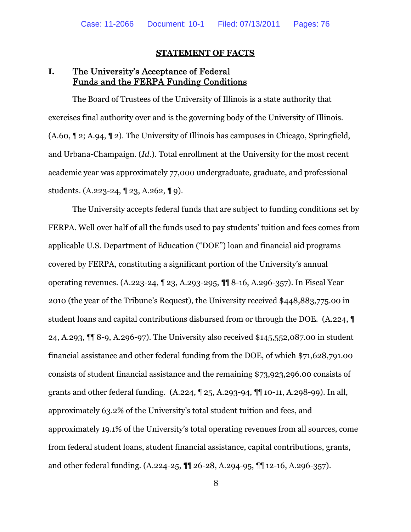#### **STATEMENT OF FACTS**

# **I.** The University's Acceptance of Federal Funds and the FERPA Funding Conditions

The Board of Trustees of the University of Illinois is a state authority that exercises final authority over and is the governing body of the University of Illinois. (A.60, ¶ 2; A.94, ¶ 2). The University of Illinois has campuses in Chicago, Springfield, and Urbana-Champaign. (*Id*.). Total enrollment at the University for the most recent academic year was approximately 77,000 undergraduate, graduate, and professional students. (A.223-24, ¶ 23, A.262, ¶ 9).

The University accepts federal funds that are subject to funding conditions set by FERPA. Well over half of all the funds used to pay students' tuition and fees comes from applicable U.S. Department of Education ("DOE") loan and financial aid programs covered by FERPA, constituting a significant portion of the University's annual operating revenues. (A.223-24, ¶ 23, A.293-295, ¶¶ 8-16, A.296-357). In Fiscal Year 2010 (the year of the Tribune's Request), the University received \$448,883,775.00 in student loans and capital contributions disbursed from or through the DOE. (A.224, ¶ 24, A.293, ¶¶ 8-9, A.296-97). The University also received \$145,552,087.00 in student financial assistance and other federal funding from the DOE, of which \$71,628,791.00 consists of student financial assistance and the remaining \$73,923,296.00 consists of grants and other federal funding. (A.224, ¶ 25, A.293-94, ¶¶ 10-11, A.298-99). In all, approximately 63.2% of the University's total student tuition and fees, and approximately 19.1% of the University's total operating revenues from all sources, come from federal student loans, student financial assistance, capital contributions, grants, and other federal funding. (A.224-25, ¶¶ 26-28, A.294-95, ¶¶ 12-16, A.296-357).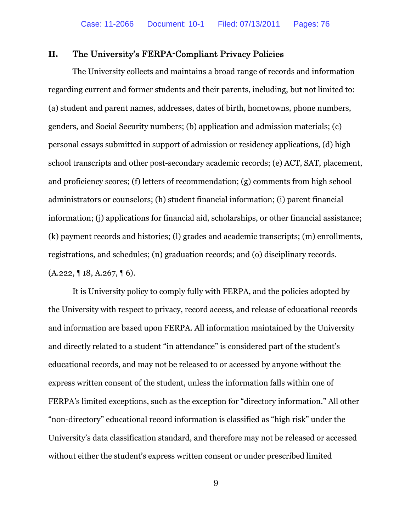#### **II.** The University's FERPA-Compliant Privacy Policies

The University collects and maintains a broad range of records and information regarding current and former students and their parents, including, but not limited to: (a) student and parent names, addresses, dates of birth, hometowns, phone numbers, genders, and Social Security numbers; (b) application and admission materials; (c) personal essays submitted in support of admission or residency applications, (d) high school transcripts and other post-secondary academic records; (e) ACT, SAT, placement, and proficiency scores; (f) letters of recommendation; (g) comments from high school administrators or counselors; (h) student financial information; (i) parent financial information; (j) applications for financial aid, scholarships, or other financial assistance; (k) payment records and histories; (l) grades and academic transcripts; (m) enrollments, registrations, and schedules; (n) graduation records; and (o) disciplinary records.  $(A.222, \{ 18, A.267, \{ 16 \}$ .

It is University policy to comply fully with FERPA, and the policies adopted by the University with respect to privacy, record access, and release of educational records and information are based upon FERPA. All information maintained by the University and directly related to a student "in attendance" is considered part of the student's educational records, and may not be released to or accessed by anyone without the express written consent of the student, unless the information falls within one of FERPA's limited exceptions, such as the exception for "directory information." All other "non-directory" educational record information is classified as "high risk" under the University's data classification standard, and therefore may not be released or accessed without either the student's express written consent or under prescribed limited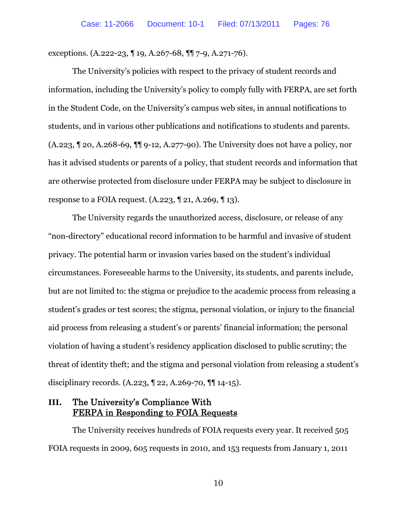exceptions. (A.222-23, ¶ 19, A.267-68, ¶¶ 7-9, A.271-76).

The University's policies with respect to the privacy of student records and information, including the University's policy to comply fully with FERPA, are set forth in the Student Code, on the University's campus web sites, in annual notifications to students, and in various other publications and notifications to students and parents. (A.223, ¶ 20, A.268-69, ¶¶ 9-12, A.277-90). The University does not have a policy, nor has it advised students or parents of a policy, that student records and information that are otherwise protected from disclosure under FERPA may be subject to disclosure in response to a FOIA request. (A.223, ¶ 21, A.269, ¶ 13).

The University regards the unauthorized access, disclosure, or release of any "non-directory" educational record information to be harmful and invasive of student privacy. The potential harm or invasion varies based on the student's individual circumstances. Foreseeable harms to the University, its students, and parents include, but are not limited to: the stigma or prejudice to the academic process from releasing a student's grades or test scores; the stigma, personal violation, or injury to the financial aid process from releasing a student's or parents' financial information; the personal violation of having a student's residency application disclosed to public scrutiny; the threat of identity theft; and the stigma and personal violation from releasing a student's disciplinary records. (A.223, ¶ 22, A.269-70, ¶¶ 14-15).

### **III.** The University's Compliance With FERPA in Responding to FOIA Requests

The University receives hundreds of FOIA requests every year. It received 505 FOIA requests in 2009, 605 requests in 2010, and 153 requests from January 1, 2011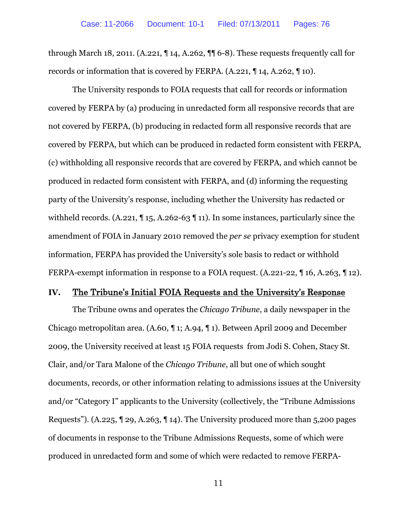through March 18, 2011. (A.221, ¶ 14, A.262, ¶¶ 6-8). These requests frequently call for records or information that is covered by FERPA. (A.221, ¶ 14, A.262, ¶ 10).

The University responds to FOIA requests that call for records or information covered by FERPA by (a) producing in unredacted form all responsive records that are not covered by FERPA, (b) producing in redacted form all responsive records that are covered by FERPA, but which can be produced in redacted form consistent with FERPA, (c) withholding all responsive records that are covered by FERPA, and which cannot be produced in redacted form consistent with FERPA, and (d) informing the requesting party of the University's response, including whether the University has redacted or withheld records. (A.221,  $\P$  15, A.262-63  $\P$  11). In some instances, particularly since the amendment of FOIA in January 2010 removed the *per se* privacy exemption for student information, FERPA has provided the University's sole basis to redact or withhold FERPA-exempt information in response to a FOIA request. (A.221-22, 16, A.263, 12).

#### **IV.** The Tribune's Initial FOIA Requests and the University's Response

The Tribune owns and operates the *Chicago Tribune*, a daily newspaper in the Chicago metropolitan area. (A.60, ¶ 1; A.94, ¶ 1). Between April 2009 and December 2009, the University received at least 15 FOIA requests from Jodi S. Cohen, Stacy St. Clair, and/or Tara Malone of the *Chicago Tribune*, all but one of which sought documents, records, or other information relating to admissions issues at the University and/or "Category I" applicants to the University (collectively, the "Tribune Admissions Requests"). (A.225, ¶ 29, A.263, ¶ 14). The University produced more than 5,200 pages of documents in response to the Tribune Admissions Requests, some of which were produced in unredacted form and some of which were redacted to remove FERPA-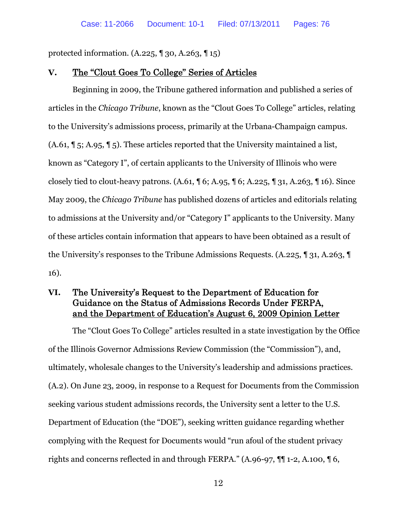protected information. (A.225, ¶ 30, A.263, ¶ 15)

#### **V.** The "Clout Goes To College" Series of Articles

Beginning in 2009, the Tribune gathered information and published a series of articles in the *Chicago Tribune*, known as the "Clout Goes To College" articles, relating to the University's admissions process, primarily at the Urbana-Champaign campus. (A.61, ¶ 5; A.95, ¶ 5). These articles reported that the University maintained a list, known as "Category I", of certain applicants to the University of Illinois who were closely tied to clout-heavy patrons. (A.61, ¶ 6; A.95, ¶ 6; A.225, ¶ 31, A.263, ¶ 16). Since May 2009, the *Chicago Tribune* has published dozens of articles and editorials relating to admissions at the University and/or "Category I" applicants to the University. Many of these articles contain information that appears to have been obtained as a result of the University's responses to the Tribune Admissions Requests. (A.225, ¶ 31, A.263, ¶ 16).

### **VI.** The University's Request to the Department of Education for Guidance on the Status of Admissions Records Under FERPA, and the Department of Education's August 6, 2009 Opinion Letter

The "Clout Goes To College" articles resulted in a state investigation by the Office of the Illinois Governor Admissions Review Commission (the "Commission"), and, ultimately, wholesale changes to the University's leadership and admissions practices. (A.2). On June 23, 2009, in response to a Request for Documents from the Commission seeking various student admissions records, the University sent a letter to the U.S. Department of Education (the "DOE"), seeking written guidance regarding whether complying with the Request for Documents would "run afoul of the student privacy rights and concerns reflected in and through FERPA." (A.96-97, ¶¶ 1-2, A.100, ¶ 6,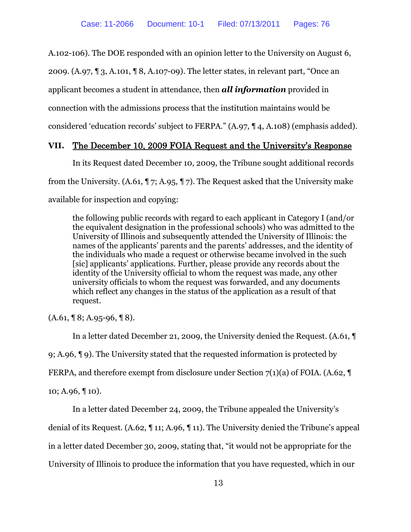A.102-106). The DOE responded with an opinion letter to the University on August 6,

2009. (A.97, ¶ 3, A.101, ¶ 8, A.107-09). The letter states, in relevant part, "Once an

applicant becomes a student in attendance, then *all information* provided in

connection with the admissions process that the institution maintains would be

considered 'education records' subject to FERPA." (A.97, ¶ 4, A.108) (emphasis added).

### **VII.** The December 10, 2009 FOIA Request and the University's Response

In its Request dated December 10, 2009, the Tribune sought additional records from the University. (A.61, ¶ 7; A.95, ¶ 7). The Request asked that the University make

available for inspection and copying:

the following public records with regard to each applicant in Category I (and/or the equivalent designation in the professional schools) who was admitted to the University of Illinois and subsequently attended the University of Illinois: the names of the applicants' parents and the parents' addresses, and the identity of the individuals who made a request or otherwise became involved in the such [sic] applicants' applications. Further, please provide any records about the identity of the University official to whom the request was made, any other university officials to whom the request was forwarded, and any documents which reflect any changes in the status of the application as a result of that request.

 $(A.61, \P 8; A.95-96, \P 8).$ 

In a letter dated December 21, 2009, the University denied the Request. (A.61, ¶ 9; A.96, ¶ 9). The University stated that the requested information is protected by FERPA, and therefore exempt from disclosure under Section 7(1)(a) of FOIA. (A.62, ¶ 10; A.96, ¶ 10).

In a letter dated December 24, 2009, the Tribune appealed the University's

denial of its Request. (A.62, ¶ 11; A.96, ¶ 11). The University denied the Tribune's appeal

in a letter dated December 30, 2009, stating that, "it would not be appropriate for the

University of Illinois to produce the information that you have requested, which in our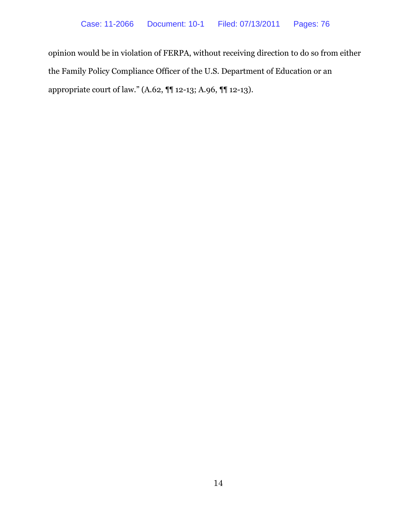opinion would be in violation of FERPA, without receiving direction to do so from either the Family Policy Compliance Officer of the U.S. Department of Education or an appropriate court of law." (A.62, ¶¶ 12-13; A.96, ¶¶ 12-13).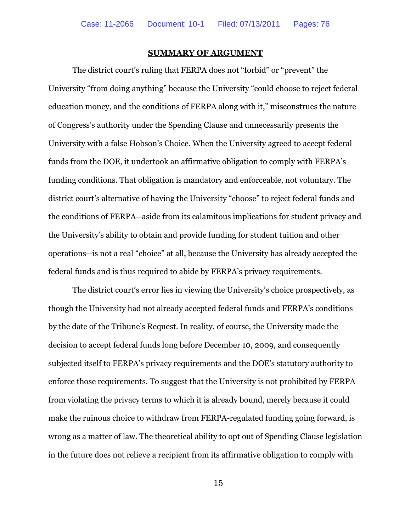#### **SUMMARY OF ARGUMENT**

The district court's ruling that FERPA does not "forbid" or "prevent" the University "from doing anything" because the University "could choose to reject federal education money, and the conditions of FERPA along with it," misconstrues the nature of Congress's authority under the Spending Clause and unnecessarily presents the University with a false Hobson's Choice. When the University agreed to accept federal funds from the DOE, it undertook an affirmative obligation to comply with FERPA's funding conditions. That obligation is mandatory and enforceable, not voluntary. The district court's alternative of having the University "choose" to reject federal funds and the conditions of FERPA--aside from its calamitous implications for student privacy and the University's ability to obtain and provide funding for student tuition and other operations--is not a real "choice" at all, because the University has already accepted the federal funds and is thus required to abide by FERPA's privacy requirements.

The district court's error lies in viewing the University's choice prospectively, as though the University had not already accepted federal funds and FERPA's conditions by the date of the Tribune's Request. In reality, of course, the University made the decision to accept federal funds long before December 10, 2009, and consequently subjected itself to FERPA's privacy requirements and the DOE's statutory authority to enforce those requirements. To suggest that the University is not prohibited by FERPA from violating the privacy terms to which it is already bound, merely because it could make the ruinous choice to withdraw from FERPA-regulated funding going forward, is wrong as a matter of law. The theoretical ability to opt out of Spending Clause legislation in the future does not relieve a recipient from its affirmative obligation to comply with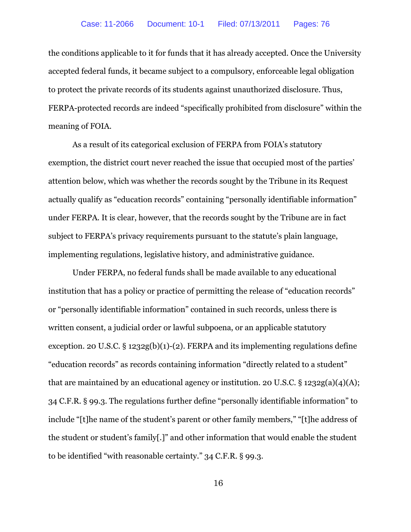the conditions applicable to it for funds that it has already accepted. Once the University accepted federal funds, it became subject to a compulsory, enforceable legal obligation to protect the private records of its students against unauthorized disclosure. Thus, FERPA-protected records are indeed "specifically prohibited from disclosure" within the meaning of FOIA.

As a result of its categorical exclusion of FERPA from FOIA's statutory exemption, the district court never reached the issue that occupied most of the parties' attention below, which was whether the records sought by the Tribune in its Request actually qualify as "education records" containing "personally identifiable information" under FERPA. It is clear, however, that the records sought by the Tribune are in fact subject to FERPA's privacy requirements pursuant to the statute's plain language, implementing regulations, legislative history, and administrative guidance.

Under FERPA, no federal funds shall be made available to any educational institution that has a policy or practice of permitting the release of "education records" or "personally identifiable information" contained in such records, unless there is written consent, a judicial order or lawful subpoena, or an applicable statutory exception. 20 U.S.C.  $\S$  1232g(b)(1)-(2). FERPA and its implementing regulations define "education records" as records containing information "directly related to a student" that are maintained by an educational agency or institution. 20 U.S.C. § 1232g(a)(4)(A); 34 C.F.R. § 99.3. The regulations further define "personally identifiable information" to include "[t]he name of the student's parent or other family members," "[t]he address of the student or student's family[.]" and other information that would enable the student to be identified "with reasonable certainty." 34 C.F.R. § 99.3.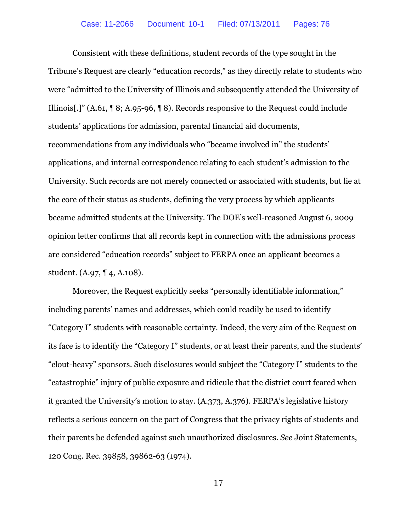Consistent with these definitions, student records of the type sought in the Tribune's Request are clearly "education records," as they directly relate to students who were "admitted to the University of Illinois and subsequently attended the University of Illinois[.]" (A.61, ¶ 8; A.95-96, ¶ 8). Records responsive to the Request could include students' applications for admission, parental financial aid documents, recommendations from any individuals who "became involved in" the students' applications, and internal correspondence relating to each student's admission to the University. Such records are not merely connected or associated with students, but lie at the core of their status as students, defining the very process by which applicants became admitted students at the University. The DOE's well-reasoned August 6, 2009 opinion letter confirms that all records kept in connection with the admissions process are considered "education records" subject to FERPA once an applicant becomes a student. (A.97, ¶ 4, A.108).

Moreover, the Request explicitly seeks "personally identifiable information," including parents' names and addresses, which could readily be used to identify "Category I" students with reasonable certainty. Indeed, the very aim of the Request on its face is to identify the "Category I" students, or at least their parents, and the students' "clout-heavy" sponsors. Such disclosures would subject the "Category I" students to the "catastrophic" injury of public exposure and ridicule that the district court feared when it granted the University's motion to stay. (A.373, A.376). FERPA's legislative history reflects a serious concern on the part of Congress that the privacy rights of students and their parents be defended against such unauthorized disclosures. *See* Joint Statements, 120 Cong. Rec. 39858, 39862-63 (1974).

17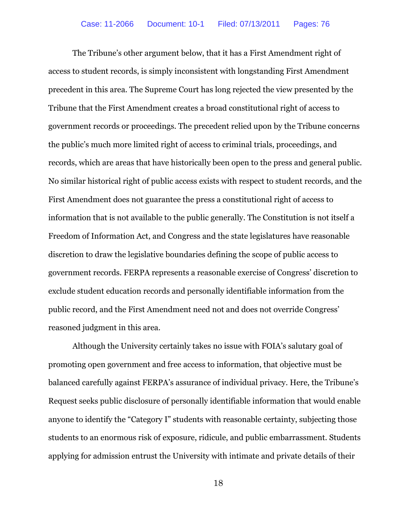The Tribune's other argument below, that it has a First Amendment right of access to student records, is simply inconsistent with longstanding First Amendment precedent in this area. The Supreme Court has long rejected the view presented by the Tribune that the First Amendment creates a broad constitutional right of access to government records or proceedings. The precedent relied upon by the Tribune concerns the public's much more limited right of access to criminal trials, proceedings, and records, which are areas that have historically been open to the press and general public. No similar historical right of public access exists with respect to student records, and the First Amendment does not guarantee the press a constitutional right of access to information that is not available to the public generally. The Constitution is not itself a Freedom of Information Act, and Congress and the state legislatures have reasonable discretion to draw the legislative boundaries defining the scope of public access to government records. FERPA represents a reasonable exercise of Congress' discretion to exclude student education records and personally identifiable information from the public record, and the First Amendment need not and does not override Congress' reasoned judgment in this area.

Although the University certainly takes no issue with FOIA's salutary goal of promoting open government and free access to information, that objective must be balanced carefully against FERPA's assurance of individual privacy. Here, the Tribune's Request seeks public disclosure of personally identifiable information that would enable anyone to identify the "Category I" students with reasonable certainty, subjecting those students to an enormous risk of exposure, ridicule, and public embarrassment. Students applying for admission entrust the University with intimate and private details of their

18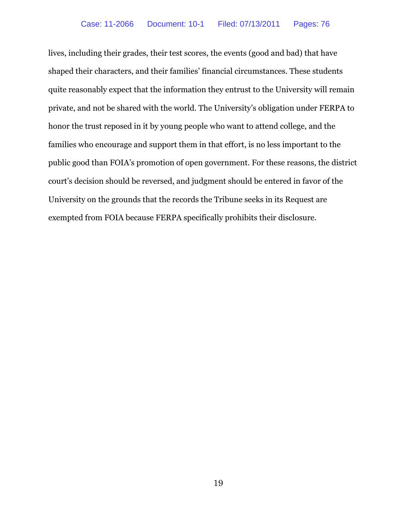lives, including their grades, their test scores, the events (good and bad) that have shaped their characters, and their families' financial circumstances. These students quite reasonably expect that the information they entrust to the University will remain private, and not be shared with the world. The University's obligation under FERPA to honor the trust reposed in it by young people who want to attend college, and the families who encourage and support them in that effort, is no less important to the public good than FOIA's promotion of open government. For these reasons, the district court's decision should be reversed, and judgment should be entered in favor of the University on the grounds that the records the Tribune seeks in its Request are exempted from FOIA because FERPA specifically prohibits their disclosure.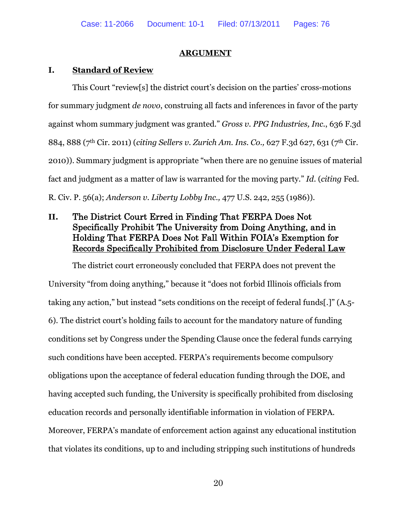#### **ARGUMENT**

#### **I. Standard of Review**

This Court "review[s] the district court's decision on the parties' cross-motions for summary judgment *de novo*, construing all facts and inferences in favor of the party against whom summary judgment was granted." *Gross v. PPG Industries, Inc.*, 636 F.3d 884, 888 (7th Cir. 2011) (*citing Sellers v. Zurich Am. Ins. Co.,* 627 F.3d 627, 631 (7th Cir. 2010)). Summary judgment is appropriate "when there are no genuine issues of material fact and judgment as a matter of law is warranted for the moving party." *Id*. (*citing* Fed. R. Civ. P. 56(a); *Anderson v. Liberty Lobby Inc.,* 477 U.S. 242, 255 (1986)).

# **II.** The District Court Erred in Finding That FERPA Does Not Specifically Prohibit The University from Doing Anything, and in Holding That FERPA Does Not Fall Within FOIA's Exemption for Records Specifically Prohibited from Disclosure Under Federal Law

The district court erroneously concluded that FERPA does not prevent the University "from doing anything," because it "does not forbid Illinois officials from taking any action," but instead "sets conditions on the receipt of federal funds[.]" (A.5- 6). The district court's holding fails to account for the mandatory nature of funding conditions set by Congress under the Spending Clause once the federal funds carrying such conditions have been accepted. FERPA's requirements become compulsory obligations upon the acceptance of federal education funding through the DOE, and having accepted such funding, the University is specifically prohibited from disclosing education records and personally identifiable information in violation of FERPA. Moreover, FERPA's mandate of enforcement action against any educational institution that violates its conditions, up to and including stripping such institutions of hundreds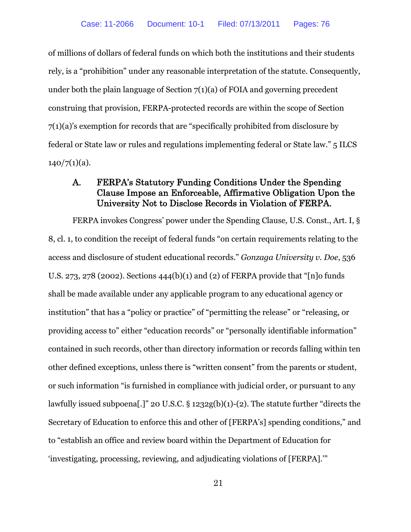of millions of dollars of federal funds on which both the institutions and their students rely, is a "prohibition" under any reasonable interpretation of the statute. Consequently, under both the plain language of Section 7(1)(a) of FOIA and governing precedent construing that provision, FERPA-protected records are within the scope of Section 7(1)(a)'s exemption for records that are "specifically prohibited from disclosure by federal or State law or rules and regulations implementing federal or State law." 5 ILCS  $140/7(1)(a)$ .

# A. FERPA's Statutory Funding Conditions Under the Spending Clause Impose an Enforceable, Affirmative Obligation Upon the University Not to Disclose Records in Violation of FERPA.

FERPA invokes Congress' power under the Spending Clause, U.S. Const., Art. I, § 8, cl. 1, to condition the receipt of federal funds "on certain requirements relating to the access and disclosure of student educational records." *Gonzaga University v. Doe*, 536 U.S. 273, 278 (2002). Sections 444(b)(1) and (2) of FERPA provide that "[n]o funds shall be made available under any applicable program to any educational agency or institution" that has a "policy or practice" of "permitting the release" or "releasing, or providing access to" either "education records" or "personally identifiable information" contained in such records, other than directory information or records falling within ten other defined exceptions, unless there is "written consent" from the parents or student, or such information "is furnished in compliance with judicial order, or pursuant to any lawfully issued subpoena[.]" 20 U.S.C. § 1232g(b)(1)-(2). The statute further "directs the Secretary of Education to enforce this and other of [FERPA's] spending conditions," and to "establish an office and review board within the Department of Education for 'investigating, processing, reviewing, and adjudicating violations of [FERPA].'"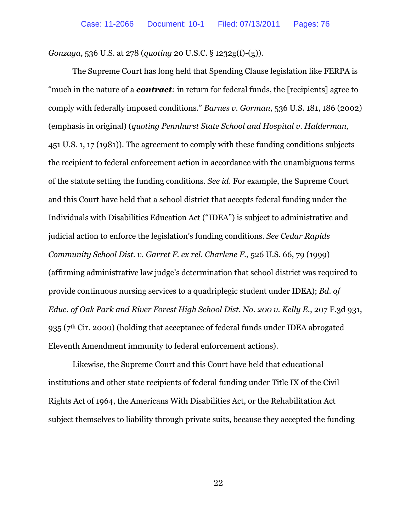*Gonzaga*, 536 U.S. at 278 (*quoting* 20 U.S.C. § 1232g(f)-(g)).

The Supreme Court has long held that Spending Clause legislation like FERPA is "much in the nature of a *contract:* in return for federal funds, the [recipients] agree to comply with federally imposed conditions." *Barnes v. Gorman*, 536 U.S. 181, 186 (2002) (emphasis in original) (*quoting Pennhurst State School and Hospital v. Halderman,* 451 U.S. 1, 17 (1981)). The agreement to comply with these funding conditions subjects the recipient to federal enforcement action in accordance with the unambiguous terms of the statute setting the funding conditions. *See id*. For example, the Supreme Court and this Court have held that a school district that accepts federal funding under the Individuals with Disabilities Education Act ("IDEA") is subject to administrative and judicial action to enforce the legislation's funding conditions. *See Cedar Rapids Community School Dist. v. Garret F. ex rel. Charlene F.*, 526 U.S. 66, 79 (1999) (affirming administrative law judge's determination that school district was required to provide continuous nursing services to a quadriplegic student under IDEA); *Bd. of Educ. of Oak Park and River Forest High School Dist. No. 200 v. Kelly E.*, 207 F.3d 931, 935 (7<sup>th</sup> Cir. 2000) (holding that acceptance of federal funds under IDEA abrogated Eleventh Amendment immunity to federal enforcement actions).

Likewise, the Supreme Court and this Court have held that educational institutions and other state recipients of federal funding under Title IX of the Civil Rights Act of 1964, the Americans With Disabilities Act, or the Rehabilitation Act subject themselves to liability through private suits, because they accepted the funding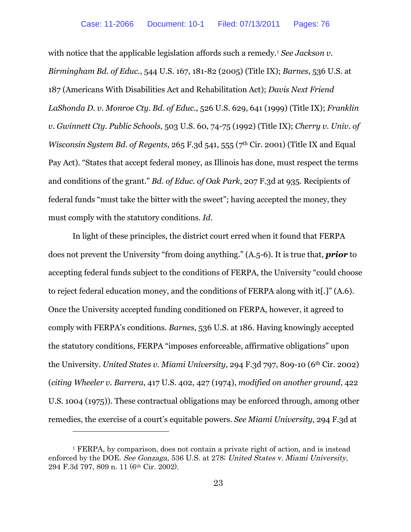with notice that the applicable legislation affords such a remedy.[1](#page-31-0) *See Jackson v. Birmingham Bd. of Educ.*, 544 U.S. 167, 181-82 (2005) (Title IX); *Barnes*, 536 U.S. at 187 (Americans With Disabilities Act and Rehabilitation Act); *Davis Next Friend LaShonda D. v. Monroe Cty. Bd. of Educ.*, 526 U.S. 629, 641 (1999) (Title IX); *Franklin v. Gwinnett Cty. Public Schools*, 503 U.S. 60, 74-75 (1992) (Title IX); *Cherry v. Univ. of Wisconsin System Bd. of Regents, 265 F.3d 541, 555 (7<sup>th</sup> Cir. 2001) (Title IX and Equal* Pay Act). "States that accept federal money, as Illinois has done, must respect the terms and conditions of the grant." *Bd. of Educ. of Oak Park*, 207 F.3d at 935. Recipients of federal funds "must take the bitter with the sweet"; having accepted the money, they must comply with the statutory conditions. *Id*.

In light of these principles, the district court erred when it found that FERPA does not prevent the University "from doing anything." (A.5-6). It is true that, *prior* to accepting federal funds subject to the conditions of FERPA, the University "could choose to reject federal education money, and the conditions of FERPA along with it[.]" (A.6). Once the University accepted funding conditioned on FERPA, however, it agreed to comply with FERPA's conditions. *Barnes*, 536 U.S. at 186. Having knowingly accepted the statutory conditions, FERPA "imposes enforceable, affirmative obligations" upon the University. *United States v. Miami University*, 294 F.3d 797, 809-10 (6th Cir. 2002) (*citing Wheeler v. Barrera*, 417 U.S. 402, 427 (1974), *modified on another ground*, 422 U.S. 1004 (1975)). These contractual obligations may be enforced through, among other remedies, the exercise of a court's equitable powers. *See Miami University*, 294 F.3d at

<span id="page-31-0"></span><sup>&</sup>lt;sup>1</sup> FERPA, by comparison, does not contain a private right of action, and is instead enforced by the DOE. See Gonzaga, 536 U.S. at 278; United States v. Miami University, 294 F.3d 797, 809 n. 11 (6th Cir. 2002).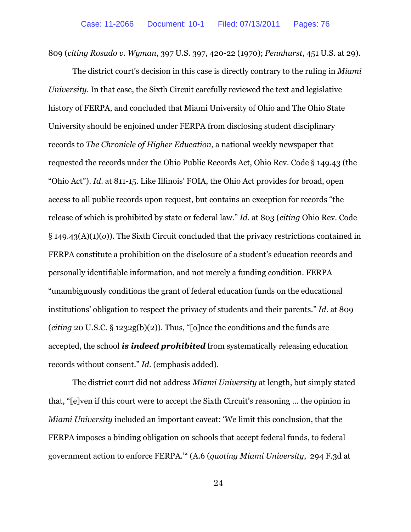809 (*citing Rosado v. Wyman*, 397 U.S. 397, 420-22 (1970); *Pennhurst*, 451 U.S. at 29).

The district court's decision in this case is directly contrary to the ruling in *Miami University*. In that case, the Sixth Circuit carefully reviewed the text and legislative history of FERPA, and concluded that Miami University of Ohio and The Ohio State University should be enjoined under FERPA from disclosing student disciplinary records to *The Chronicle of Higher Education*, a national weekly newspaper that requested the records under the Ohio Public Records Act, Ohio Rev. Code § 149.43 (the "Ohio Act"). *Id*. at 811-15. Like Illinois' FOIA, the Ohio Act provides for broad, open access to all public records upon request, but contains an exception for records "the release of which is prohibited by state or federal law." *Id*. at 803 (*citing* Ohio Rev. Code § 149.43(A)(1)(*o*)). The Sixth Circuit concluded that the privacy restrictions contained in FERPA constitute a prohibition on the disclosure of a student's education records and personally identifiable information, and not merely a funding condition. FERPA "unambiguously conditions the grant of federal education funds on the educational institutions' obligation to respect the privacy of students and their parents." *Id*. at 809 (*citing* 20 U.S.C. § 1232g(b)(2)). Thus, "[o]nce the conditions and the funds are accepted, the school *is indeed prohibited* from systematically releasing education records without consent." *Id*. (emphasis added).

The district court did not address *Miami University* at length, but simply stated that, "[e]ven if this court were to accept the Sixth Circuit's reasoning … the opinion in *Miami University* included an important caveat: 'We limit this conclusion, that the FERPA imposes a binding obligation on schools that accept federal funds, to federal government action to enforce FERPA.'" (A.6 (*quoting Miami University*, 294 F.3d at

24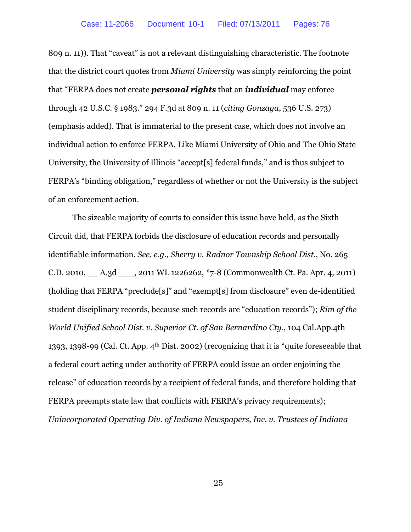809 n. 11)). That "caveat" is not a relevant distinguishing characteristic. The footnote that the district court quotes from *Miami University* was simply reinforcing the point that "FERPA does not create *personal rights* that an *individual* may enforce through 42 U.S.C. § 1983." 294 F.3d at 809 n. 11 (*citing Gonzaga*, 536 U.S. 273) (emphasis added). That is immaterial to the present case, which does not involve an individual action to enforce FERPA. Like Miami University of Ohio and The Ohio State University, the University of Illinois "accept[s] federal funds," and is thus subject to FERPA's "binding obligation," regardless of whether or not the University is the subject of an enforcement action.

The sizeable majority of courts to consider this issue have held, as the Sixth Circuit did, that FERPA forbids the disclosure of education records and personally identifiable information. *See, e.g., Sherry v. Radnor Township School Dist.*, No. 265 C.D. 2010, \_\_ A.3d \_\_\_, 2011 WL 1226262, \*7-8 (Commonwealth Ct. Pa. Apr. 4, 2011) (holding that FERPA "preclude[s]" and "exempt[s] from disclosure" even de-identified student disciplinary records, because such records are "education records"); *Rim of the World Unified School Dist. v. Superior Ct. of San Bernardino Cty.*, 104 Cal.App.4th 1393, 1398-99 (Cal. Ct. App.  $4<sup>th</sup>$  Dist. 2002) (recognizing that it is "quite foreseeable that a federal court acting under authority of FERPA could issue an order enjoining the release" of education records by a recipient of federal funds, and therefore holding that FERPA preempts state law that conflicts with FERPA's privacy requirements); *Unincorporated Operating Div. of Indiana Newspapers, Inc. v. Trustees of Indiana*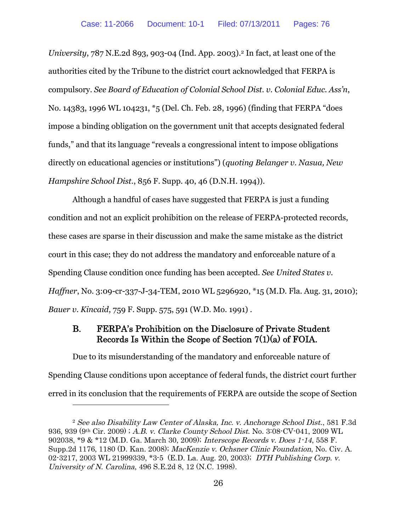*University*, 787 N.E.2d 893, 903-04 (Ind. App. 2003).[2](#page-34-0) In fact, at least one of the authorities cited by the Tribune to the district court acknowledged that FERPA is compulsory. *See Board of Education of Colonial School Dist. v. Colonial Educ. Ass'n*, No. 14383, 1996 WL 104231, \*5 (Del. Ch. Feb. 28, 1996) (finding that FERPA "does impose a binding obligation on the government unit that accepts designated federal funds," and that its language "reveals a congressional intent to impose obligations directly on educational agencies or institutions") (*quoting Belanger v. Nasua, New Hampshire School Dist.*, 856 F. Supp. 40, 46 (D.N.H. 1994)).

Although a handful of cases have suggested that FERPA is just a funding condition and not an explicit prohibition on the release of FERPA-protected records, these cases are sparse in their discussion and make the same mistake as the district court in this case; they do not address the mandatory and enforceable nature of a Spending Clause condition once funding has been accepted. *See United States v. Haffner*, No. 3:09-cr-337-J-34-TEM, 2010 WL 5296920, \*15 (M.D. Fla. Aug. 31, 2010); *Bauer v. Kincaid*, 759 F. Supp. 575, 591 (W.D. Mo. 1991) .

### B. FERPA's Prohibition on the Disclosure of Private Student Records Is Within the Scope of Section 7(1)(a) of FOIA.

Due to its misunderstanding of the mandatory and enforceable nature of Spending Clause conditions upon acceptance of federal funds, the district court further erred in its conclusion that the requirements of FERPA are outside the scope of Section

<span id="page-34-0"></span><sup>2</sup> See also Disability Law Center of Alaska, Inc. v. Anchorage School Dist., 581 F.3d 936, 939 (9th Cir. 2009) ; A.B. v. Clarke County School Dist. No. 3:08-CV-041, 2009 WL 902038, \*9 & \*12 (M.D. Ga. March 30, 2009); Interscope Records v. Does 1-14, 558 F. Supp.2d 1176, 1180 (D. Kan. 2008); MacKenzie v. Ochsner Clinic Foundation, No. Civ. A. 02-3217, 2003 WL 21999339, \*3-5 (E.D. La. Aug. 20, 2003); DTH Publishing Corp. v. University of N. Carolina, 496 S.E.2d 8, 12 (N.C. 1998).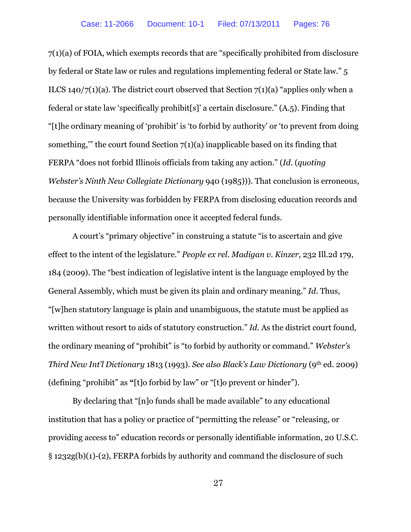7(1)(a) of FOIA, which exempts records that are "specifically prohibited from disclosure by federal or State law or rules and regulations implementing federal or State law." 5 ILCS 140/7(1)(a). The district court observed that Section 7(1)(a) "applies only when a federal or state law 'specifically prohibit[s]' a certain disclosure." (A.5). Finding that "[t]he ordinary meaning of 'prohibit' is 'to forbid by authority' or 'to prevent from doing something," the court found Section  $7(1)(a)$  inapplicable based on its finding that FERPA "does not forbid Illinois officials from taking any action." (*Id*. (*quoting Webster's Ninth New Collegiate Dictionary* 940 (1985))). That conclusion is erroneous, because the University was forbidden by FERPA from disclosing education records and personally identifiable information once it accepted federal funds.

A court's "primary objective" in construing a statute "is to ascertain and give effect to the intent of the legislature." *People ex rel. Madigan v. Kinzer,* 232 Ill.2d 179, 184 (2009). The "best indication of legislative intent is the language employed by the General Assembly, which must be given its plain and ordinary meaning." *Id*. Thus, "[w]hen statutory language is plain and unambiguous, the statute must be applied as written without resort to aids of statutory construction." *Id*. As the district court found, the ordinary meaning of "prohibit" is "to forbid by authority or command." *Webster's Third New Int'l Dictionary* 1813 (1993). *See also Black's Law Dictionary* (9th ed. 2009) (defining "prohibit" as **"**[t]o forbid by law" or "[t]o prevent or hinder").

By declaring that "[n]o funds shall be made available" to any educational institution that has a policy or practice of "permitting the release" or "releasing, or providing access to" education records or personally identifiable information, 20 U.S.C. § 1232g(b)(1)-(2), FERPA forbids by authority and command the disclosure of such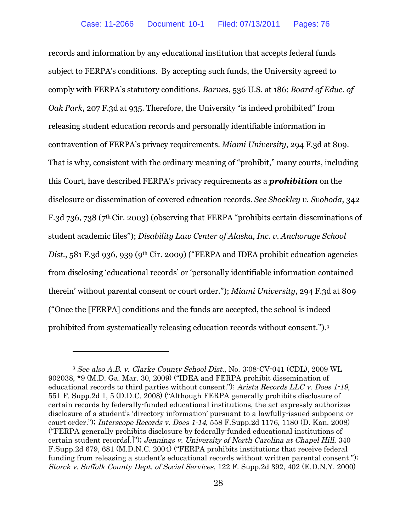records and information by any educational institution that accepts federal funds subject to FERPA's conditions. By accepting such funds, the University agreed to comply with FERPA's statutory conditions. *Barnes*, 536 U.S. at 186; *Board of Educ. of Oak Park*, 207 F.3d at 935. Therefore, the University "is indeed prohibited" from releasing student education records and personally identifiable information in contravention of FERPA's privacy requirements. *Miami University*, 294 F.3d at 809. That is why, consistent with the ordinary meaning of "prohibit," many courts, including this Court, have described FERPA's privacy requirements as a *prohibition* on the disclosure or dissemination of covered education records. *See Shockley v. Svoboda*, 342 F.3d 736, 738 (7th Cir. 2003) (observing that FERPA "prohibits certain disseminations of student academic files"); *Disability Law Center of Alaska, Inc. v. Anchorage School* Dist., 581 F.3d 936, 939 (9<sup>th</sup> Cir. 2009) ("FERPA and IDEA prohibit education agencies from disclosing 'educational records' or 'personally identifiable information contained therein' without parental consent or court order."); *Miami University*, 294 F.3d at 809 ("Once the [FERPA] conditions and the funds are accepted, the school is indeed prohibited from systematically releasing education records without consent.").[3](#page-36-0)

<span id="page-36-0"></span><sup>3</sup> See also A.B. v. Clarke County School Dist., No. 3:08-CV-041 (CDL), 2009 WL 902038, \*9 (M.D. Ga. Mar. 30, 2009) ("IDEA and FERPA prohibit dissemination of educational records to third parties without consent."); Arista Records LLC v. Does 1-19, 551 F. Supp.2d 1, 5 (D.D.C. 2008) ("Although FERPA generally prohibits disclosure of certain records by federally-funded educational institutions, the act expressly authorizes disclosure of a student's 'directory information' pursuant to a lawfully-issued subpoena or court order."); Interscope Records v. Does 1-14, 558 F.Supp.2d 1176, 1180 (D. Kan. 2008) ("FERPA generally prohibits disclosure by federally-funded educational institutions of certain student records[.]"); Jennings v. University of North Carolina at Chapel Hill, 340 F.Supp.2d 679, 681 (M.D.N.C. 2004) ("FERPA prohibits institutions that receive federal funding from releasing a student's educational records without written parental consent."); Storck v. Suffolk County Dept. of Social Services, 122 F. Supp.2d 392, 402 (E.D.N.Y. 2000)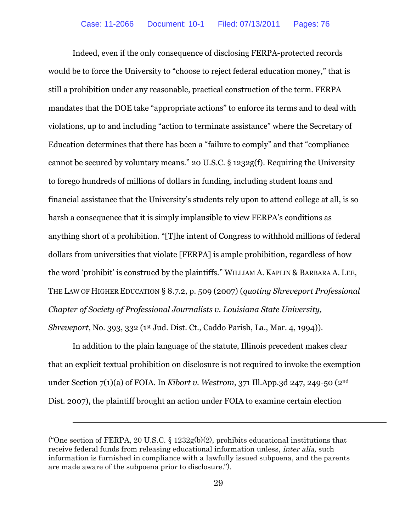Indeed, even if the only consequence of disclosing FERPA-protected records would be to force the University to "choose to reject federal education money," that is still a prohibition under any reasonable, practical construction of the term. FERPA mandates that the DOE take "appropriate actions" to enforce its terms and to deal with violations, up to and including "action to terminate assistance" where the Secretary of Education determines that there has been a "failure to comply" and that "compliance cannot be secured by voluntary means." 20 U.S.C. § 1232g(f). Requiring the University to forego hundreds of millions of dollars in funding, including student loans and financial assistance that the University's students rely upon to attend college at all, is so harsh a consequence that it is simply implausible to view FERPA's conditions as anything short of a prohibition. "[T]he intent of Congress to withhold millions of federal dollars from universities that violate [FERPA] is ample prohibition, regardless of how the word 'prohibit' is construed by the plaintiffs." WILLIAM A. KAPLIN & BARBARA A. LEE, THE LAW OF HIGHER EDUCATION § 8.7.2, p. 509 (2007) (*quoting Shreveport Professional Chapter of Society of Professional Journalists v. Louisiana State University, Shreveport*, No. 393, 332 (1st Jud. Dist. Ct., Caddo Parish, La., Mar. 4, 1994)).

In addition to the plain language of the statute, Illinois precedent makes clear that an explicit textual prohibition on disclosure is not required to invoke the exemption under Section 7(1)(a) of FOIA. In *Kibort v. Westrom*, 371 Ill.App.3d 247, 249-50 (2nd Dist. 2007), the plaintiff brought an action under FOIA to examine certain election

<sup>(&</sup>quot;One section of FERPA, 20 U.S.C. § 1232g(b)(2), prohibits educational institutions that receive federal funds from releasing educational information unless, inter alia, such information is furnished in compliance with a lawfully issued subpoena, and the parents are made aware of the subpoena prior to disclosure.").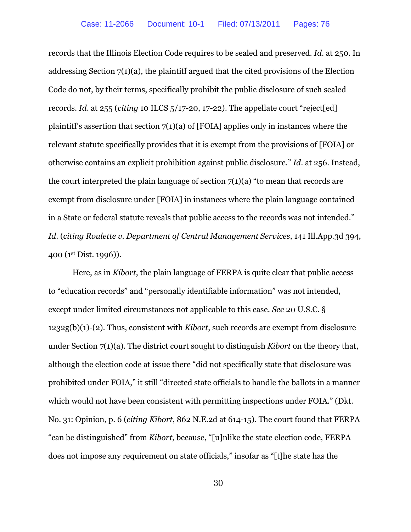records that the Illinois Election Code requires to be sealed and preserved. *Id*. at 250. In addressing Section 7(1)(a), the plaintiff argued that the cited provisions of the Election Code do not, by their terms, specifically prohibit the public disclosure of such sealed records. *Id*. at 255 (*citing* 10 ILCS 5/17-20, 17-22). The appellate court "reject[ed] plaintiff's assertion that section  $7(1)(a)$  of [FOIA] applies only in instances where the relevant statute specifically provides that it is exempt from the provisions of [FOIA] or otherwise contains an explicit prohibition against public disclosure." *Id*. at 256. Instead, the court interpreted the plain language of section  $7(1)(a)$  "to mean that records are exempt from disclosure under [FOIA] in instances where the plain language contained in a State or federal statute reveals that public access to the records was not intended." *Id*. (*citing Roulette v. Department of Central Management Services*, 141 Ill.App.3d 394, 400 (1st Dist. 1996)).

Here, as in *Kibort*, the plain language of FERPA is quite clear that public access to "education records" and "personally identifiable information" was not intended, except under limited circumstances not applicable to this case. *See* 20 U.S.C. § 1232g(b)(1)-(2). Thus, consistent with *Kibort*, such records are exempt from disclosure under Section 7(1)(a). The district court sought to distinguish *Kibort* on the theory that, although the election code at issue there "did not specifically state that disclosure was prohibited under FOIA," it still "directed state officials to handle the ballots in a manner which would not have been consistent with permitting inspections under FOIA." (Dkt. No. 31: Opinion, p. 6 (*citing Kibort*, 862 N.E.2d at 614-15). The court found that FERPA "can be distinguished" from *Kibort*, because, "[u]nlike the state election code, FERPA does not impose any requirement on state officials," insofar as "[t]he state has the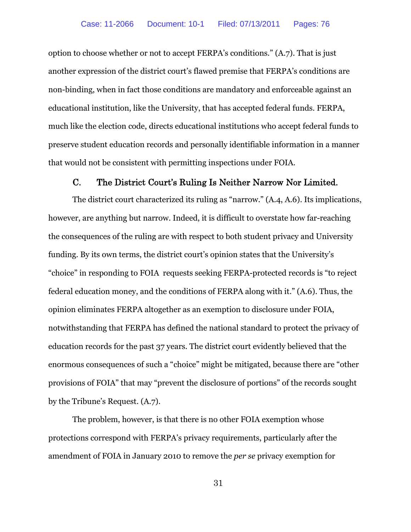option to choose whether or not to accept FERPA's conditions." (A.7). That is just another expression of the district court's flawed premise that FERPA's conditions are non-binding, when in fact those conditions are mandatory and enforceable against an educational institution, like the University, that has accepted federal funds. FERPA, much like the election code, directs educational institutions who accept federal funds to preserve student education records and personally identifiable information in a manner that would not be consistent with permitting inspections under FOIA.

### C. The District Court's Ruling Is Neither Narrow Nor Limited.

The district court characterized its ruling as "narrow." (A.4, A.6). Its implications, however, are anything but narrow. Indeed, it is difficult to overstate how far-reaching the consequences of the ruling are with respect to both student privacy and University funding. By its own terms, the district court's opinion states that the University's "choice" in responding to FOIA requests seeking FERPA-protected records is "to reject federal education money, and the conditions of FERPA along with it." (A.6). Thus, the opinion eliminates FERPA altogether as an exemption to disclosure under FOIA, notwithstanding that FERPA has defined the national standard to protect the privacy of education records for the past 37 years. The district court evidently believed that the enormous consequences of such a "choice" might be mitigated, because there are "other provisions of FOIA" that may "prevent the disclosure of portions" of the records sought by the Tribune's Request. (A.7).

The problem, however, is that there is no other FOIA exemption whose protections correspond with FERPA's privacy requirements, particularly after the amendment of FOIA in January 2010 to remove the *per se* privacy exemption for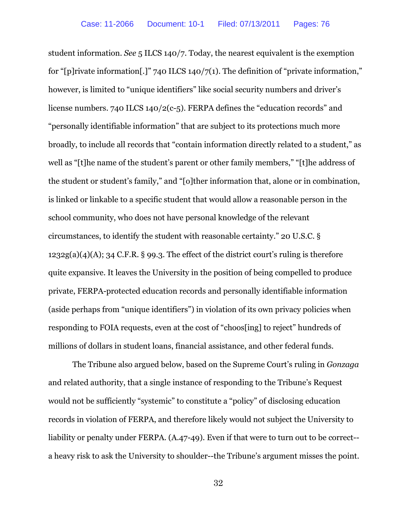student information. *See* 5 ILCS 140/7. Today, the nearest equivalent is the exemption for "[p]rivate information[.]" 740 ILCS 140/7(1). The definition of "private information," however, is limited to "unique identifiers" like social security numbers and driver's license numbers. 740 ILCS 140/2(c-5). FERPA defines the "education records" and "personally identifiable information" that are subject to its protections much more broadly, to include all records that "contain information directly related to a student," as well as "[t]he name of the student's parent or other family members," "[t]he address of the student or student's family," and "[o]ther information that, alone or in combination, is linked or linkable to a specific student that would allow a reasonable person in the school community, who does not have personal knowledge of the relevant circumstances, to identify the student with reasonable certainty." 20 U.S.C. §  $1232g(a)(4)(A); 34 C.F.R. § 99.3. The effect of the district court's ruling is therefore$ quite expansive. It leaves the University in the position of being compelled to produce private, FERPA-protected education records and personally identifiable information (aside perhaps from "unique identifiers") in violation of its own privacy policies when responding to FOIA requests, even at the cost of "choos[ing] to reject" hundreds of millions of dollars in student loans, financial assistance, and other federal funds.

The Tribune also argued below, based on the Supreme Court's ruling in *Gonzaga* and related authority, that a single instance of responding to the Tribune's Request would not be sufficiently "systemic" to constitute a "policy" of disclosing education records in violation of FERPA, and therefore likely would not subject the University to liability or penalty under FERPA. (A.47-49). Even if that were to turn out to be correct- a heavy risk to ask the University to shoulder--the Tribune's argument misses the point.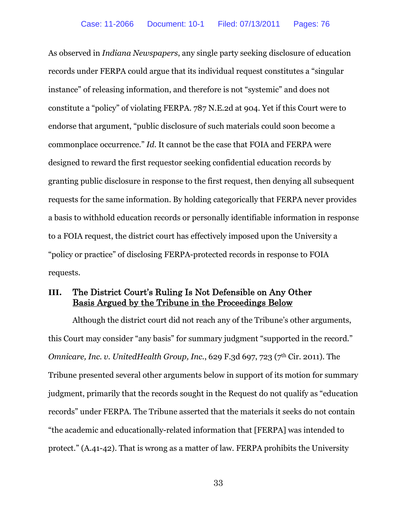As observed in *Indiana Newspapers*, any single party seeking disclosure of education records under FERPA could argue that its individual request constitutes a "singular instance" of releasing information, and therefore is not "systemic" and does not constitute a "policy" of violating FERPA. 787 N.E.2d at 904. Yet if this Court were to endorse that argument, "public disclosure of such materials could soon become a commonplace occurrence." *Id*. It cannot be the case that FOIA and FERPA were designed to reward the first requestor seeking confidential education records by granting public disclosure in response to the first request, then denying all subsequent requests for the same information. By holding categorically that FERPA never provides a basis to withhold education records or personally identifiable information in response to a FOIA request, the district court has effectively imposed upon the University a "policy or practice" of disclosing FERPA-protected records in response to FOIA requests.

# **III.** The District Court's Ruling Is Not Defensible on Any Other Basis Argued by the Tribune in the Proceedings Below

Although the district court did not reach any of the Tribune's other arguments, this Court may consider "any basis" for summary judgment "supported in the record." *Omnicare, Inc. v. UnitedHealth Group, Inc.*, 629 F.3d 697, 723 (7<sup>th</sup> Cir. 2011). The Tribune presented several other arguments below in support of its motion for summary judgment, primarily that the records sought in the Request do not qualify as "education records" under FERPA. The Tribune asserted that the materials it seeks do not contain "the academic and educationally-related information that [FERPA] was intended to protect." (A.41-42). That is wrong as a matter of law. FERPA prohibits the University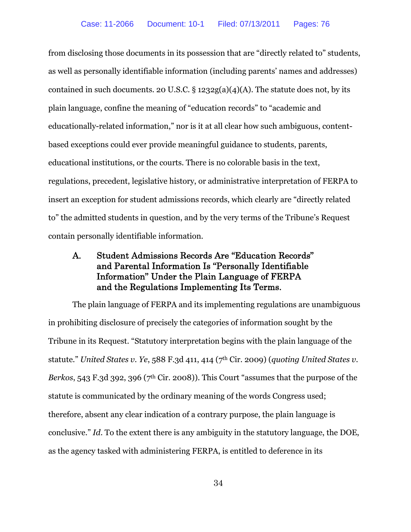from disclosing those documents in its possession that are "directly related to" students, as well as personally identifiable information (including parents' names and addresses) contained in such documents. 20 U.S.C.  $\S 1232g(a)(4)(A)$ . The statute does not, by its plain language, confine the meaning of "education records" to "academic and educationally-related information," nor is it at all clear how such ambiguous, contentbased exceptions could ever provide meaningful guidance to students, parents, educational institutions, or the courts. There is no colorable basis in the text, regulations, precedent, legislative history, or administrative interpretation of FERPA to insert an exception for student admissions records, which clearly are "directly related to" the admitted students in question, and by the very terms of the Tribune's Request contain personally identifiable information.

# A. Student Admissions Records Are "Education Records" and Parental Information Is "Personally Identifiable Information" Under the Plain Language of FERPA and the Regulations Implementing Its Terms.

The plain language of FERPA and its implementing regulations are unambiguous in prohibiting disclosure of precisely the categories of information sought by the Tribune in its Request. "Statutory interpretation begins with the plain language of the statute." *United States v. Ye*, 588 F.3d 411, 414 (7th Cir. 2009) (*quoting United States v. Berkos*, 543 F.3d 392, 396 (7<sup>th</sup> Cir. 2008)). This Court "assumes that the purpose of the statute is communicated by the ordinary meaning of the words Congress used; therefore, absent any clear indication of a contrary purpose, the plain language is conclusive." *Id*. To the extent there is any ambiguity in the statutory language, the DOE, as the agency tasked with administering FERPA, is entitled to deference in its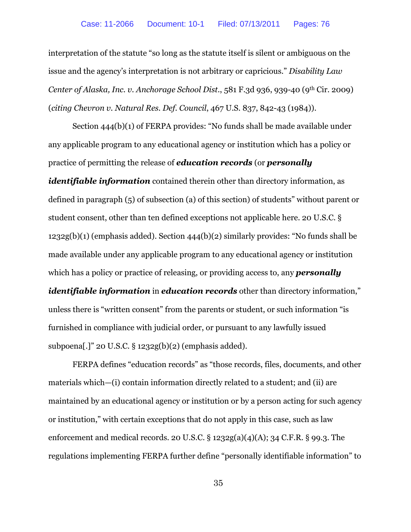interpretation of the statute "so long as the statute itself is silent or ambiguous on the issue and the agency's interpretation is not arbitrary or capricious." *Disability Law Center of Alaska, Inc. v. Anchorage School Dist.*, 581 F.3d 936, 939-40 (9th Cir. 2009) (*citing Chevron v. Natural Res. Def. Council*, 467 U.S. 837, 842-43 (1984)).

Section 444(b)(1) of FERPA provides: "No funds shall be made available under any applicable program to any educational agency or institution which has a policy or practice of permitting the release of *education records* (or *personally identifiable information* contained therein other than directory information, as defined in paragraph (5) of subsection (a) of this section) of students" without parent or student consent, other than ten defined exceptions not applicable here. 20 U.S.C. § 1232g(b)(1) (emphasis added). Section 444(b)(2) similarly provides: "No funds shall be made available under any applicable program to any educational agency or institution

which has a policy or practice of releasing, or providing access to, any *personally identifiable information* in *education records* other than directory information," unless there is "written consent" from the parents or student, or such information "is furnished in compliance with judicial order, or pursuant to any lawfully issued subpoena[.]" 20 U.S.C. § 1232g(b)(2) (emphasis added).

FERPA defines "education records" as "those records, files, documents, and other materials which—(i) contain information directly related to a student; and (ii) are maintained by an educational agency or institution or by a person acting for such agency or institution," with certain exceptions that do not apply in this case, such as law enforcement and medical records. 20 U.S.C.  $\S$  1232g(a)(4)(A); 34 C.F.R.  $\S$  99.3. The regulations implementing FERPA further define "personally identifiable information" to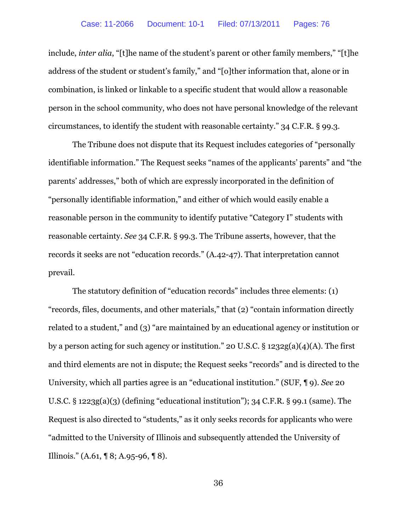include, *inter alia*, "[t]he name of the student's parent or other family members," "[t]he address of the student or student's family," and "[o]ther information that, alone or in combination, is linked or linkable to a specific student that would allow a reasonable person in the school community, who does not have personal knowledge of the relevant circumstances, to identify the student with reasonable certainty." 34 C.F.R. § 99.3.

The Tribune does not dispute that its Request includes categories of "personally identifiable information." The Request seeks "names of the applicants' parents" and "the parents' addresses," both of which are expressly incorporated in the definition of "personally identifiable information," and either of which would easily enable a reasonable person in the community to identify putative "Category I" students with reasonable certainty. *See* 34 C.F.R. § 99.3. The Tribune asserts, however, that the records it seeks are not "education records." (A.42-47). That interpretation cannot prevail.

The statutory definition of "education records" includes three elements: (1) "records, files, documents, and other materials," that (2) "contain information directly related to a student," and (3) "are maintained by an educational agency or institution or by a person acting for such agency or institution." 20 U.S.C. § 1232g(a)(4)(A). The first and third elements are not in dispute; the Request seeks "records" and is directed to the University, which all parties agree is an "educational institution." (SUF, ¶ 9). *See* 20 U.S.C.  $\S$  1223g(a)(3) (defining "educational institution"); 34 C.F.R.  $\S$  99.1 (same). The Request is also directed to "students," as it only seeks records for applicants who were "admitted to the University of Illinois and subsequently attended the University of Illinois." (A.61, ¶ 8; A.95-96, ¶ 8).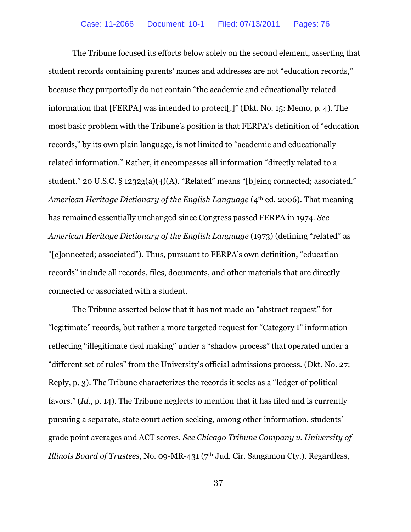The Tribune focused its efforts below solely on the second element, asserting that student records containing parents' names and addresses are not "education records," because they purportedly do not contain "the academic and educationally-related information that [FERPA] was intended to protect[.]" (Dkt. No. 15: Memo, p. 4). The most basic problem with the Tribune's position is that FERPA's definition of "education records," by its own plain language, is not limited to "academic and educationallyrelated information." Rather, it encompasses all information "directly related to a student." 20 U.S.C. § 1232g(a)(4)(A). "Related" means "[b]eing connected; associated." *American Heritage Dictionary of the English Language* (4th ed. 2006). That meaning has remained essentially unchanged since Congress passed FERPA in 1974. *See American Heritage Dictionary of the English Language* (1973) (defining "related" as "[c]onnected; associated"). Thus, pursuant to FERPA's own definition, "education records" include all records, files, documents, and other materials that are directly connected or associated with a student.

The Tribune asserted below that it has not made an "abstract request" for "legitimate" records, but rather a more targeted request for "Category I" information reflecting "illegitimate deal making" under a "shadow process" that operated under a "different set of rules" from the University's official admissions process. (Dkt. No. 27: Reply, p. 3). The Tribune characterizes the records it seeks as a "ledger of political favors." (*Id*., p. 14). The Tribune neglects to mention that it has filed and is currently pursuing a separate, state court action seeking, among other information, students' grade point averages and ACT scores. *See Chicago Tribune Company v. University of Illinois Board of Trustees*, No. 09-MR-431 (7<sup>th</sup> Jud. Cir. Sangamon Cty.). Regardless,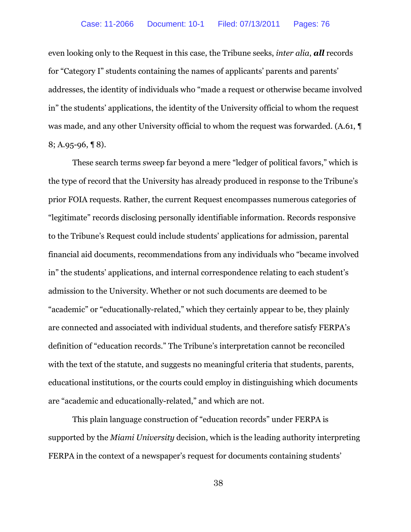even looking only to the Request in this case, the Tribune seeks, *inter alia*, *all* records for "Category I" students containing the names of applicants' parents and parents' addresses, the identity of individuals who "made a request or otherwise became involved in" the students' applications, the identity of the University official to whom the request was made, and any other University official to whom the request was forwarded. (A.61, ¶ 8; A.95-96, ¶ 8).

These search terms sweep far beyond a mere "ledger of political favors," which is the type of record that the University has already produced in response to the Tribune's prior FOIA requests. Rather, the current Request encompasses numerous categories of "legitimate" records disclosing personally identifiable information. Records responsive to the Tribune's Request could include students' applications for admission, parental financial aid documents, recommendations from any individuals who "became involved in" the students' applications, and internal correspondence relating to each student's admission to the University. Whether or not such documents are deemed to be "academic" or "educationally-related," which they certainly appear to be, they plainly are connected and associated with individual students, and therefore satisfy FERPA's definition of "education records." The Tribune's interpretation cannot be reconciled with the text of the statute, and suggests no meaningful criteria that students, parents, educational institutions, or the courts could employ in distinguishing which documents are "academic and educationally-related," and which are not.

This plain language construction of "education records" under FERPA is supported by the *Miami University* decision, which is the leading authority interpreting FERPA in the context of a newspaper's request for documents containing students'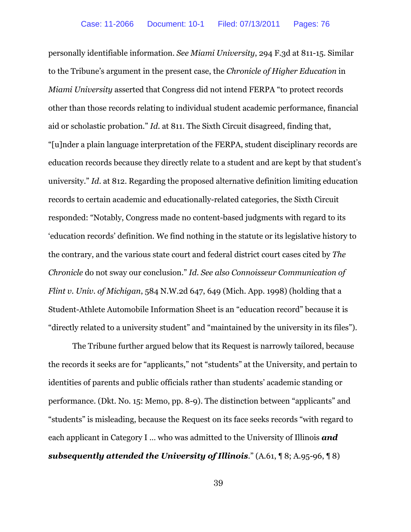personally identifiable information. *See Miami University*, 294 F.3d at 811-15. Similar to the Tribune's argument in the present case, the *Chronicle of Higher Education* in *Miami University* asserted that Congress did not intend FERPA "to protect records other than those records relating to individual student academic performance, financial aid or scholastic probation." *Id*. at 811. The Sixth Circuit disagreed, finding that, "[u]nder a plain language interpretation of the FERPA, student disciplinary records are education records because they directly relate to a student and are kept by that student's university." *Id*. at 812. Regarding the proposed alternative definition limiting education records to certain academic and educationally-related categories, the Sixth Circuit responded: "Notably, Congress made no content-based judgments with regard to its 'education records' definition. We find nothing in the statute or its legislative history to the contrary, and the various state court and federal district court cases cited by *The Chronicle* do not sway our conclusion." *Id*. *See also Connoisseur Communication of Flint v. Univ. of Michigan*, 584 N.W.2d 647, 649 (Mich. App. 1998) (holding that a Student-Athlete Automobile Information Sheet is an "education record" because it is "directly related to a university student" and "maintained by the university in its files").

The Tribune further argued below that its Request is narrowly tailored, because the records it seeks are for "applicants," not "students" at the University, and pertain to identities of parents and public officials rather than students' academic standing or performance. (Dkt. No. 15: Memo, pp. 8-9). The distinction between "applicants" and "students" is misleading, because the Request on its face seeks records "with regard to each applicant in Category I … who was admitted to the University of Illinois *and subsequently attended the University of Illinois*." (A.61, ¶ 8; A.95-96, ¶ 8)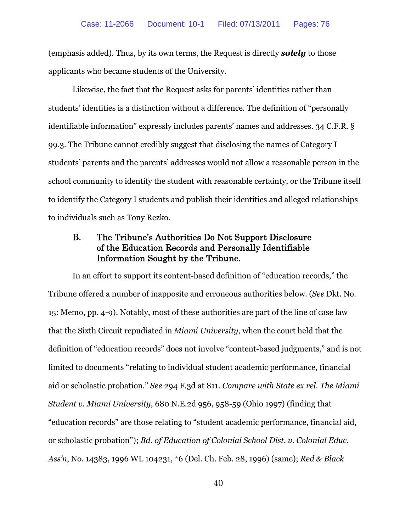(emphasis added). Thus, by its own terms, the Request is directly *solely* to those applicants who became students of the University.

Likewise, the fact that the Request asks for parents' identities rather than students' identities is a distinction without a difference. The definition of "personally identifiable information" expressly includes parents' names and addresses. 34 C.F.R. § 99.3. The Tribune cannot credibly suggest that disclosing the names of Category I students' parents and the parents' addresses would not allow a reasonable person in the school community to identify the student with reasonable certainty, or the Tribune itself to identify the Category I students and publish their identities and alleged relationships to individuals such as Tony Rezko.

# B. The Tribune's Authorities Do Not Support Disclosure of the Education Records and Personally Identifiable Information Sought by the Tribune.

In an effort to support its content-based definition of "education records," the Tribune offered a number of inapposite and erroneous authorities below. (*See* Dkt. No. 15: Memo, pp. 4-9). Notably, most of these authorities are part of the line of case law that the Sixth Circuit repudiated in *Miami University*, when the court held that the definition of "education records" does not involve "content-based judgments," and is not limited to documents "relating to individual student academic performance, financial aid or scholastic probation." *See* 294 F.3d at 811. *Compare with State ex rel. The Miami Student v. Miami University*, 680 N.E.2d 956, 958-59 (Ohio 1997) (finding that "education records" are those relating to "student academic performance, financial aid, or scholastic probation"); *Bd. of Education of Colonial School Dist. v. Colonial Educ. Ass'n*, No. 14383, 1996 WL 104231, \*6 (Del. Ch. Feb. 28, 1996) (same); *Red & Black*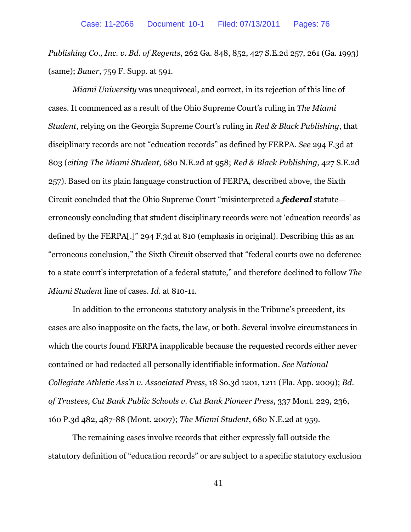*Publishing Co., Inc. v. Bd. of Regents*, 262 Ga. 848, 852, 427 S.E.2d 257, 261 (Ga. 1993) (same); *Bauer*, 759 F. Supp. at 591.

*Miami University* was unequivocal, and correct, in its rejection of this line of cases. It commenced as a result of the Ohio Supreme Court's ruling in *The Miami Student*, relying on the Georgia Supreme Court's ruling in *Red & Black Publishing*, that disciplinary records are not "education records" as defined by FERPA. *See* 294 F.3d at 803 (*citing The Miami Student*, 680 N.E.2d at 958; *Red & Black Publishing*, 427 S.E.2d 257). Based on its plain language construction of FERPA, described above, the Sixth Circuit concluded that the Ohio Supreme Court "misinterpreted a *federal* statute erroneously concluding that student disciplinary records were not 'education records' as defined by the FERPA[.]" 294 F.3d at 810 (emphasis in original). Describing this as an "erroneous conclusion," the Sixth Circuit observed that "federal courts owe no deference to a state court's interpretation of a federal statute," and therefore declined to follow *The Miami Student* line of cases. *Id*. at 810-11.

In addition to the erroneous statutory analysis in the Tribune's precedent, its cases are also inapposite on the facts, the law, or both. Several involve circumstances in which the courts found FERPA inapplicable because the requested records either never contained or had redacted all personally identifiable information. *See National Collegiate Athletic Ass'n v. Associated Press*, 18 So.3d 1201, 1211 (Fla. App. 2009); *Bd. of Trustees, Cut Bank Public Schools v. Cut Bank Pioneer Press*, 337 Mont. 229, 236, 160 P.3d 482, 487-88 (Mont. 2007); *The Miami Student*, 680 N.E.2d at 959.

The remaining cases involve records that either expressly fall outside the statutory definition of "education records" or are subject to a specific statutory exclusion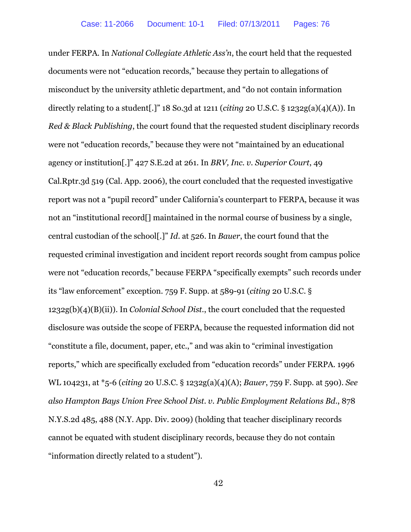under FERPA. In *National Collegiate Athletic Ass'n*, the court held that the requested documents were not "education records," because they pertain to allegations of misconduct by the university athletic department, and "do not contain information directly relating to a student[.]" 18 So.3d at 1211 (*citing* 20 U.S.C. § 1232g(a)(4)(A)). In *Red & Black Publishing*, the court found that the requested student disciplinary records were not "education records," because they were not "maintained by an educational agency or institution[.]" 427 S.E.2d at 261. In *BRV, Inc. v. Superior Court*, 49 Cal.Rptr.3d 519 (Cal. App. 2006), the court concluded that the requested investigative report was not a "pupil record" under California's counterpart to FERPA, because it was not an "institutional record[] maintained in the normal course of business by a single, central custodian of the school[.]" *Id*. at 526. In *Bauer*, the court found that the requested criminal investigation and incident report records sought from campus police were not "education records," because FERPA "specifically exempts" such records under its "law enforcement" exception. 759 F. Supp. at 589-91 (*citing* 20 U.S.C. § 1232g(b)(4)(B)(ii)). In *Colonial School Dist.*, the court concluded that the requested disclosure was outside the scope of FERPA, because the requested information did not "constitute a file, document, paper, etc.," and was akin to "criminal investigation reports," which are specifically excluded from "education records" under FERPA. 1996 WL 104231, at \*5-6 (*citing* 20 U.S.C. § 1232g(a)(4)(A); *Bauer*, 759 F. Supp. at 590). *See also Hampton Bays Union Free School Dist. v. Public Employment Relations Bd.*, 878 N.Y.S.2d 485, 488 (N.Y. App. Div. 2009) (holding that teacher disciplinary records cannot be equated with student disciplinary records, because they do not contain "information directly related to a student").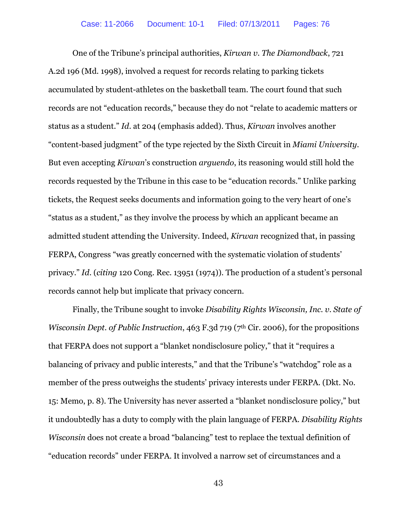One of the Tribune's principal authorities, *Kirwan v. The Diamondback*, 721 A.2d 196 (Md. 1998), involved a request for records relating to parking tickets accumulated by student-athletes on the basketball team. The court found that such records are not "education records," because they do not "relate to academic matters or status as a student." *Id*. at 204 (emphasis added). Thus, *Kirwan* involves another "content-based judgment" of the type rejected by the Sixth Circuit in *Miami University*. But even accepting *Kirwan*'s construction *arguendo*, its reasoning would still hold the records requested by the Tribune in this case to be "education records." Unlike parking tickets, the Request seeks documents and information going to the very heart of one's "status as a student," as they involve the process by which an applicant became an admitted student attending the University. Indeed, *Kirwan* recognized that, in passing FERPA, Congress "was greatly concerned with the systematic violation of students' privacy." *Id*. (*citing* 120 Cong. Rec. 13951 (1974)). The production of a student's personal records cannot help but implicate that privacy concern.

Finally, the Tribune sought to invoke *Disability Rights Wisconsin, Inc. v. State of Wisconsin Dept. of Public Instruction, 463 F.3d 719 (7<sup>th</sup> Cir. 2006), for the propositions* that FERPA does not support a "blanket nondisclosure policy," that it "requires a balancing of privacy and public interests," and that the Tribune's "watchdog" role as a member of the press outweighs the students' privacy interests under FERPA. (Dkt. No. 15: Memo, p. 8). The University has never asserted a "blanket nondisclosure policy," but it undoubtedly has a duty to comply with the plain language of FERPA. *Disability Rights Wisconsin* does not create a broad "balancing" test to replace the textual definition of "education records" under FERPA. It involved a narrow set of circumstances and a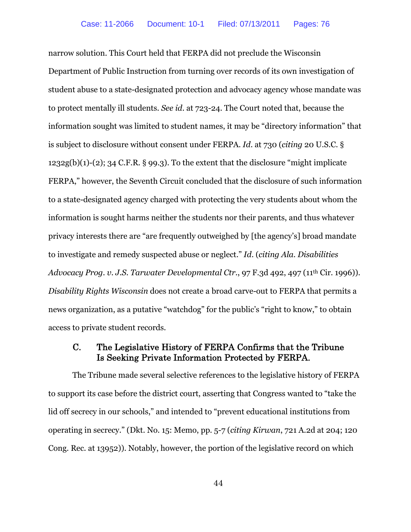narrow solution. This Court held that FERPA did not preclude the Wisconsin Department of Public Instruction from turning over records of its own investigation of student abuse to a state-designated protection and advocacy agency whose mandate was to protect mentally ill students. *See id*. at 723-24. The Court noted that, because the information sought was limited to student names, it may be "directory information" that is subject to disclosure without consent under FERPA. *Id*. at 730 (*citing* 20 U.S.C. §  $1232g(b)(1)-(2)$ ; 34 C.F.R. § 99.3). To the extent that the disclosure "might implicate" FERPA," however, the Seventh Circuit concluded that the disclosure of such information to a state-designated agency charged with protecting the very students about whom the information is sought harms neither the students nor their parents, and thus whatever privacy interests there are "are frequently outweighed by [the agency's] broad mandate to investigate and remedy suspected abuse or neglect." *Id*. (*citing Ala. Disabilities Advocacy Prog*. *v. J.S. Tarwater Developmental Ctr.*, 97 F.3d 492, 497 (11th Cir. 1996)). *Disability Rights Wisconsin* does not create a broad carve-out to FERPA that permits a news organization, as a putative "watchdog" for the public's "right to know," to obtain access to private student records.

## C. The Legislative History of FERPA Confirms that the Tribune Is Seeking Private Information Protected by FERPA.

The Tribune made several selective references to the legislative history of FERPA to support its case before the district court, asserting that Congress wanted to "take the lid off secrecy in our schools," and intended to "prevent educational institutions from operating in secrecy." (Dkt. No. 15: Memo, pp. 5-7 (*citing Kirwan*, 721 A.2d at 204; 120 Cong. Rec. at 13952)). Notably, however, the portion of the legislative record on which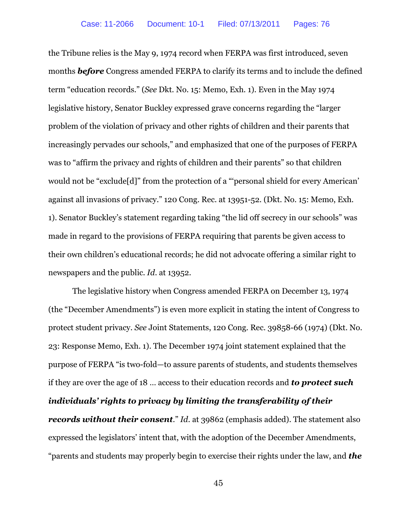the Tribune relies is the May 9, 1974 record when FERPA was first introduced, seven months *before* Congress amended FERPA to clarify its terms and to include the defined term "education records." (*See* Dkt. No. 15: Memo, Exh. 1). Even in the May 1974 legislative history, Senator Buckley expressed grave concerns regarding the "larger problem of the violation of privacy and other rights of children and their parents that increasingly pervades our schools," and emphasized that one of the purposes of FERPA was to "affirm the privacy and rights of children and their parents" so that children would not be "exclude[d]" from the protection of a "'personal shield for every American' against all invasions of privacy." 120 Cong. Rec. at 13951-52. (Dkt. No. 15: Memo, Exh. 1). Senator Buckley's statement regarding taking "the lid off secrecy in our schools" was made in regard to the provisions of FERPA requiring that parents be given access to their own children's educational records; he did not advocate offering a similar right to newspapers and the public. *Id*. at 13952.

The legislative history when Congress amended FERPA on December 13, 1974 (the "December Amendments") is even more explicit in stating the intent of Congress to protect student privacy. *See* Joint Statements, 120 Cong. Rec. 39858-66 (1974) (Dkt. No. 23: Response Memo, Exh. 1). The December 1974 joint statement explained that the purpose of FERPA "is two-fold—to assure parents of students, and students themselves if they are over the age of 18 … access to their education records and *to protect such individuals' rights to privacy by limiting the transferability of their records without their consent*." *Id*. at 39862 (emphasis added). The statement also expressed the legislators' intent that, with the adoption of the December Amendments, "parents and students may properly begin to exercise their rights under the law, and *the*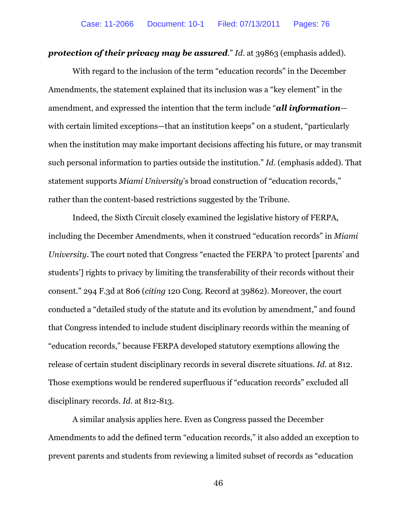**protection of their privacy may be assured.**" Id. at 39863 (emphasis added).

With regard to the inclusion of the term "education records" in the December Amendments, the statement explained that its inclusion was a "key element" in the amendment, and expressed the intention that the term include "*all information* with certain limited exceptions—that an institution keeps" on a student, "particularly when the institution may make important decisions affecting his future, or may transmit such personal information to parties outside the institution." *Id*. (emphasis added). That statement supports *Miami University*'s broad construction of "education records," rather than the content-based restrictions suggested by the Tribune.

Indeed, the Sixth Circuit closely examined the legislative history of FERPA, including the December Amendments, when it construed "education records" in *Miami University*. The court noted that Congress "enacted the FERPA 'to protect [parents' and students'] rights to privacy by limiting the transferability of their records without their consent." 294 F.3d at 806 (*citing* 120 Cong. Record at 39862). Moreover, the court conducted a "detailed study of the statute and its evolution by amendment," and found that Congress intended to include student disciplinary records within the meaning of "education records," because FERPA developed statutory exemptions allowing the release of certain student disciplinary records in several discrete situations. *Id*. at 812. Those exemptions would be rendered superfluous if "education records" excluded all disciplinary records. *Id*. at 812-813.

A similar analysis applies here. Even as Congress passed the December Amendments to add the defined term "education records," it also added an exception to prevent parents and students from reviewing a limited subset of records as "education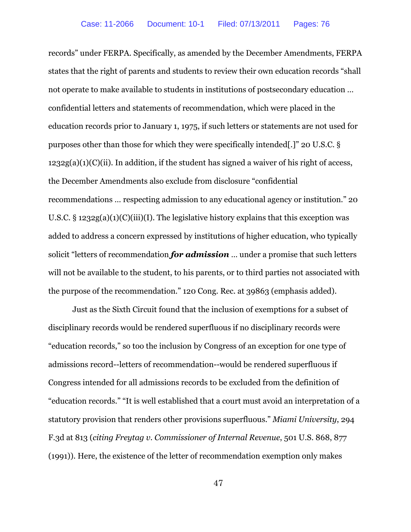records" under FERPA. Specifically, as amended by the December Amendments, FERPA states that the right of parents and students to review their own education records "shall not operate to make available to students in institutions of postsecondary education … confidential letters and statements of recommendation, which were placed in the education records prior to January 1, 1975, if such letters or statements are not used for purposes other than those for which they were specifically intended[.]" 20 U.S.C. §  $1232g(a)(1)(C)(ii)$ . In addition, if the student has signed a waiver of his right of access, the December Amendments also exclude from disclosure "confidential recommendations … respecting admission to any educational agency or institution." 20 U.S.C. § 1232g(a)(1)(C)(iii)(I). The legislative history explains that this exception was added to address a concern expressed by institutions of higher education, who typically solicit "letters of recommendation *for admission* … under a promise that such letters will not be available to the student, to his parents, or to third parties not associated with the purpose of the recommendation." 120 Cong. Rec. at 39863 (emphasis added).

Just as the Sixth Circuit found that the inclusion of exemptions for a subset of disciplinary records would be rendered superfluous if no disciplinary records were "education records," so too the inclusion by Congress of an exception for one type of admissions record--letters of recommendation--would be rendered superfluous if Congress intended for all admissions records to be excluded from the definition of "education records." "It is well established that a court must avoid an interpretation of a statutory provision that renders other provisions superfluous." *Miami University*, 294 F.3d at 813 (*citing Freytag v. Commissioner of Internal Revenue*, 501 U.S. 868, 877 (1991)). Here, the existence of the letter of recommendation exemption only makes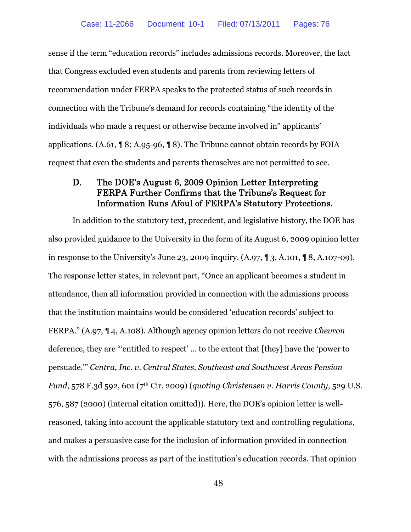sense if the term "education records" includes admissions records. Moreover, the fact that Congress excluded even students and parents from reviewing letters of recommendation under FERPA speaks to the protected status of such records in connection with the Tribune's demand for records containing "the identity of the individuals who made a request or otherwise became involved in" applicants' applications. (A.61, ¶ 8; A.95-96, ¶ 8). The Tribune cannot obtain records by FOIA request that even the students and parents themselves are not permitted to see.

# D. The DOE's August 6, 2009 Opinion Letter Interpreting FERPA Further Confirms that the Tribune's Request for Information Runs Afoul of FERPA's Statutory Protections.

In addition to the statutory text, precedent, and legislative history, the DOE has also provided guidance to the University in the form of its August 6, 2009 opinion letter in response to the University's June 23, 2009 inquiry. (A.97, ¶ 3, A.101, ¶ 8, A.107-09). The response letter states, in relevant part, "Once an applicant becomes a student in attendance, then all information provided in connection with the admissions process that the institution maintains would be considered 'education records' subject to FERPA." (A.97, ¶ 4, A.108). Although agency opinion letters do not receive *Chevron* deference, they are "'entitled to respect' … to the extent that [they] have the 'power to persuade.'" *Centra, Inc. v. Central States, Southeast and Southwest Areas Pension Fund*, 578 F.3d 592, 601 (7th Cir. 2009) (*quoting Christensen v. Harris County*, 529 U.S. 576, 587 (2000) (internal citation omitted)). Here, the DOE's opinion letter is wellreasoned, taking into account the applicable statutory text and controlling regulations, and makes a persuasive case for the inclusion of information provided in connection with the admissions process as part of the institution's education records. That opinion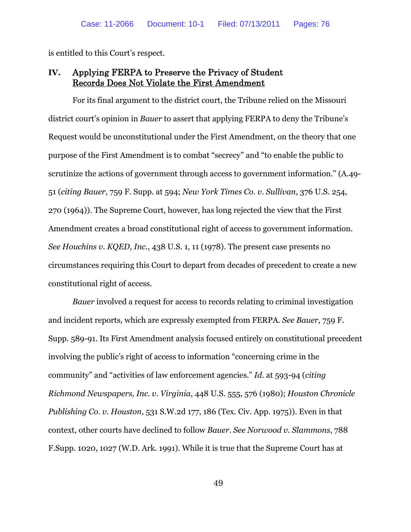is entitled to this Court's respect.

# **IV.** Applying FERPA to Preserve the Privacy of Student Records Does Not Violate the First Amendment

For its final argument to the district court, the Tribune relied on the Missouri district court's opinion in *Bauer* to assert that applying FERPA to deny the Tribune's Request would be unconstitutional under the First Amendment, on the theory that one purpose of the First Amendment is to combat "secrecy" and "to enable the public to scrutinize the actions of government through access to government information." (A.49- 51 (*citing Bauer*, 759 F. Supp. at 594; *New York Times Co. v. Sullivan*, 376 U.S. 254, 270 (1964)). The Supreme Court, however, has long rejected the view that the First Amendment creates a broad constitutional right of access to government information. *See Houchins v. KQED, Inc.*, 438 U.S. 1, 11 (1978). The present case presents no circumstances requiring this Court to depart from decades of precedent to create a new constitutional right of access.

*Bauer* involved a request for access to records relating to criminal investigation and incident reports, which are expressly exempted from FERPA. *See Bauer*, 759 F. Supp. 589-91. Its First Amendment analysis focused entirely on constitutional precedent involving the public's right of access to information "concerning crime in the community" and "activities of law enforcement agencies." *Id*. at 593-94 (*citing Richmond Newspapers, Inc. v. Virginia*, 448 U.S. 555, 576 (1980); *Houston Chronicle Publishing Co. v. Houston*, 531 S.W.2d 177, 186 (Tex. Civ. App. 1975)). Even in that context, other courts have declined to follow *Bauer*. *See Norwood v. Slammons*, 788 F.Supp. 1020, 1027 (W.D. Ark. 1991). While it is true that the Supreme Court has at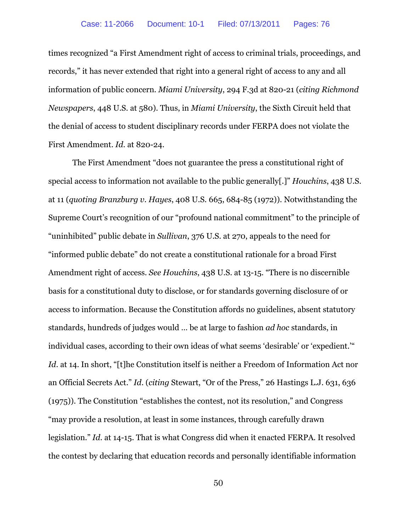times recognized "a First Amendment right of access to criminal trials, proceedings, and records," it has never extended that right into a general right of access to any and all information of public concern. *Miami University*, 294 F.3d at 820-21 (*citing Richmond Newspapers*, 448 U.S. at 580). Thus, in *Miami University*, the Sixth Circuit held that the denial of access to student disciplinary records under FERPA does not violate the First Amendment. *Id*. at 820-24.

The First Amendment "does not guarantee the press a constitutional right of special access to information not available to the public generally[.]" *Houchins*, 438 U.S. at 11 (*quoting Branzburg v. Hayes*, 408 U.S. 665, 684-85 (1972)). Notwithstanding the Supreme Court's recognition of our "profound national commitment" to the principle of "uninhibited" public debate in *Sullivan*, 376 U.S. at 270, appeals to the need for "informed public debate" do not create a constitutional rationale for a broad First Amendment right of access. *See Houchins*, 438 U.S. at 13-15. "There is no discernible basis for a constitutional duty to disclose, or for standards governing disclosure of or access to information. Because the Constitution affords no guidelines, absent statutory standards, hundreds of judges would … be at large to fashion *ad hoc* standards, in individual cases, according to their own ideas of what seems 'desirable' or 'expedient.'" *Id*. at 14. In short, "[t]he Constitution itself is neither a Freedom of Information Act nor an Official Secrets Act." *Id*. (*citing* Stewart, "Or of the Press," 26 Hastings L.J. 631, 636 (1975)). The Constitution "establishes the contest, not its resolution," and Congress "may provide a resolution, at least in some instances, through carefully drawn legislation." *Id*. at 14-15. That is what Congress did when it enacted FERPA. It resolved the contest by declaring that education records and personally identifiable information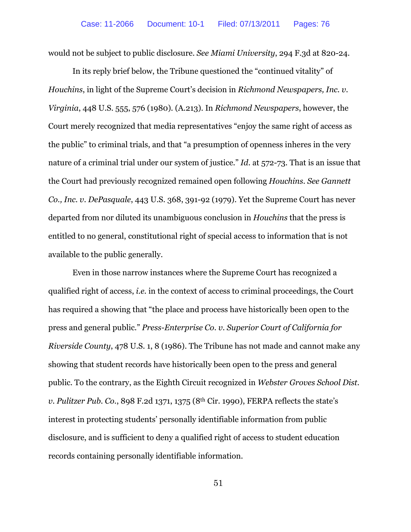would not be subject to public disclosure. *See Miami University*, 294 F.3d at 820-24.

In its reply brief below, the Tribune questioned the "continued vitality" of *Houchins*, in light of the Supreme Court's decision in *Richmond Newspapers, Inc. v. Virginia*, 448 U.S. 555, 576 (1980). (A.213). In *Richmond Newspapers*, however, the Court merely recognized that media representatives "enjoy the same right of access as the public" to criminal trials, and that "a presumption of openness inheres in the very nature of a criminal trial under our system of justice." *Id*. at 572-73. That is an issue that the Court had previously recognized remained open following *Houchins*. *See Gannett Co., Inc. v. DePasquale*, 443 U.S. 368, 391-92 (1979). Yet the Supreme Court has never departed from nor diluted its unambiguous conclusion in *Houchins* that the press is entitled to no general, constitutional right of special access to information that is not available to the public generally.

Even in those narrow instances where the Supreme Court has recognized a qualified right of access, *i.e.* in the context of access to criminal proceedings, the Court has required a showing that "the place and process have historically been open to the press and general public." *Press-Enterprise Co. v. Superior Court of California for Riverside County*, 478 U.S. 1, 8 (1986). The Tribune has not made and cannot make any showing that student records have historically been open to the press and general public. To the contrary, as the Eighth Circuit recognized in *Webster Groves School Dist. v. Pulitzer Pub. Co.*, 898 F.2d 1371, 1375 (8th Cir. 1990), FERPA reflects the state's interest in protecting students' personally identifiable information from public disclosure, and is sufficient to deny a qualified right of access to student education records containing personally identifiable information.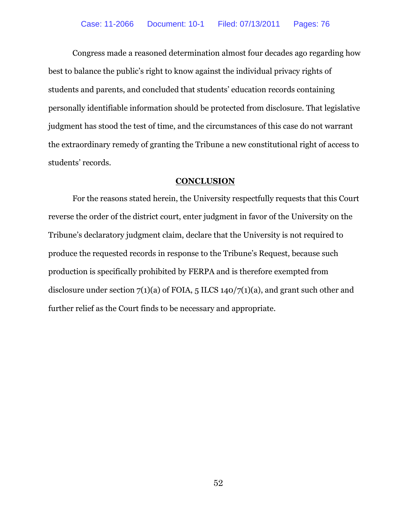Congress made a reasoned determination almost four decades ago regarding how best to balance the public's right to know against the individual privacy rights of students and parents, and concluded that students' education records containing personally identifiable information should be protected from disclosure. That legislative judgment has stood the test of time, and the circumstances of this case do not warrant the extraordinary remedy of granting the Tribune a new constitutional right of access to students' records.

#### **CONCLUSION**

For the reasons stated herein, the University respectfully requests that this Court reverse the order of the district court, enter judgment in favor of the University on the Tribune's declaratory judgment claim, declare that the University is not required to produce the requested records in response to the Tribune's Request, because such production is specifically prohibited by FERPA and is therefore exempted from disclosure under section  $7(1)(a)$  of FOIA, 5 ILCS 140/7(1)(a), and grant such other and further relief as the Court finds to be necessary and appropriate.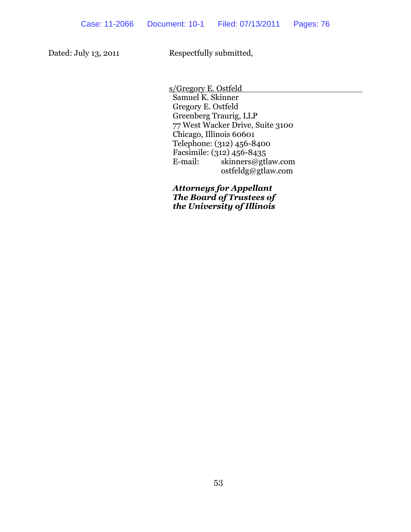Dated: July 13, 2011 Respectfully submitted,

s/Gregory E. Ostfeld

Samuel K. Skinner Gregory E. Ostfeld Greenberg Traurig, LLP 77 West Wacker Drive, Suite 3100 Chicago, Illinois 60601 Telephone: (312) 456-8400 Facsimile: (312) 456-8435 E-mail: skinners@gtlaw.com ostfeldg@gtlaw.com

*Attorneys for Appellant The Board of Trustees of the University of Illinois*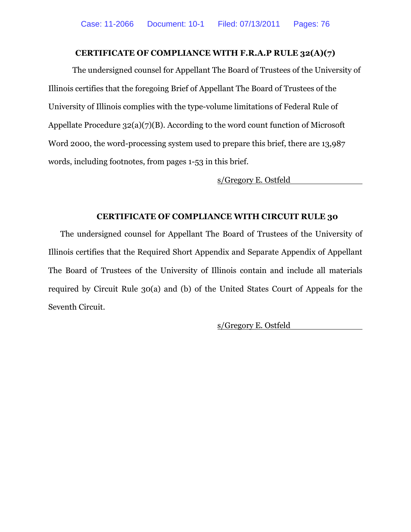### **CERTIFICATE OF COMPLIANCE WITH F.R.A.P RULE 32(A)(7)**

The undersigned counsel for Appellant The Board of Trustees of the University of Illinois certifies that the foregoing Brief of Appellant The Board of Trustees of the University of Illinois complies with the type-volume limitations of Federal Rule of Appellate Procedure 32(a)(7)(B). According to the word count function of Microsoft Word 2000, the word-processing system used to prepare this brief, there are 13,987 words, including footnotes, from pages 1-53 in this brief.

s/Gregory E. Ostfeld

### **CERTIFICATE OF COMPLIANCE WITH CIRCUIT RULE 30**

The undersigned counsel for Appellant The Board of Trustees of the University of Illinois certifies that the Required Short Appendix and Separate Appendix of Appellant The Board of Trustees of the University of Illinois contain and include all materials required by Circuit Rule 30(a) and (b) of the United States Court of Appeals for the Seventh Circuit.

s/Gregory E. Ostfeld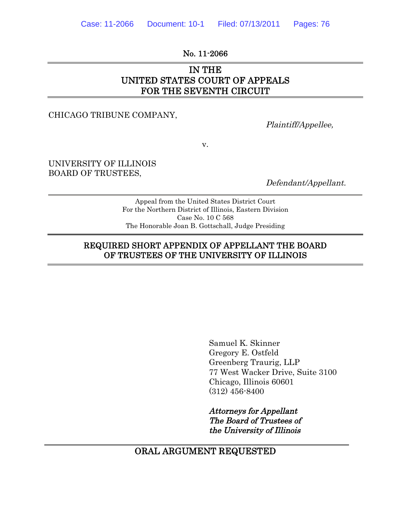No. 11-2066

# IN THE UNITED STATES COURT OF APPEALS FOR THE SEVENTH CIRCUIT

CHICAGO TRIBUNE COMPANY,

Plaintiff/Appellee,

v.

UNIVERSITY OF ILLINOIS BOARD OF TRUSTEES,

Defendant/Appellant.

Appeal from the United States District Court For the Northern District of Illinois, Eastern Division Case No. 10 C 568 The Honorable Joan B. Gottschall, Judge Presiding

### REQUIRED SHORT APPENDIX OF APPELLANT THE BOARD OF TRUSTEES OF THE UNIVERSITY OF ILLINOIS

Samuel K. Skinner Gregory E. Ostfeld Greenberg Traurig, LLP 77 West Wacker Drive, Suite 3100 Chicago, Illinois 60601 (312) 456-8400

Attorneys for Appellant The Board of Trustees of the University of Illinois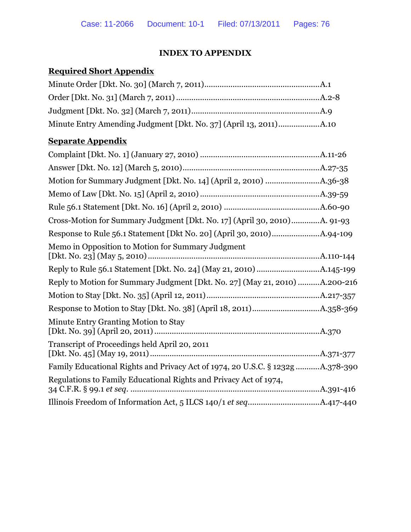# **INDEX TO APPENDIX**

# **Required Short Appendix**

# **Separate Appendix**

| Cross-Motion for Summary Judgment [Dkt. No. 17] (April 30, 2010)A. 91-93       |  |
|--------------------------------------------------------------------------------|--|
|                                                                                |  |
| Memo in Opposition to Motion for Summary Judgment                              |  |
|                                                                                |  |
| Reply to Motion for Summary Judgment [Dkt. No. 27] (May 21, 2010) A.200-216    |  |
|                                                                                |  |
|                                                                                |  |
| Minute Entry Granting Motion to Stay                                           |  |
| Transcript of Proceedings held April 20, 2011                                  |  |
| Family Educational Rights and Privacy Act of 1974, 20 U.S.C. § 1232g A.378-390 |  |
| Regulations to Family Educational Rights and Privacy Act of 1974,              |  |
|                                                                                |  |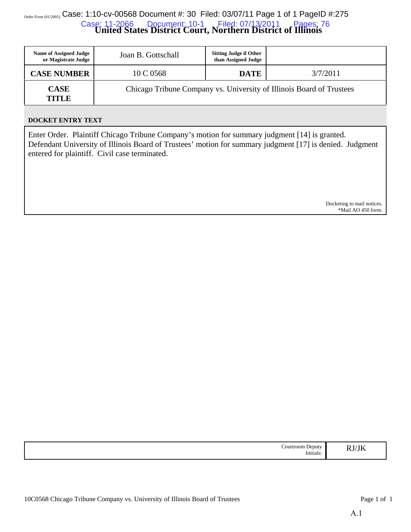# $_{\tiny{\textrm{Order Form (01/2005)}}$  Case: 1:10-cv-00568 Document #: 30 Filed: 03/07/11 Page 1 of 1 PageID #:275 **United States District Court, Northern District of Illinois** Case: 11-2066 Document: 10-1 Filed: 07/13/2011 Pages: 76

| <b>Name of Assigned Judge</b><br>or Magistrate Judge | Joan B. Gottschall                                                   | <b>Sitting Judge if Other</b><br>than Assigned Judge |          |
|------------------------------------------------------|----------------------------------------------------------------------|------------------------------------------------------|----------|
| <b>CASE NUMBER</b>                                   | 10 C 0568                                                            | <b>DATE</b>                                          | 3/7/2011 |
| <b>CASE</b><br>TITLE                                 | Chicago Tribune Company vs. University of Illinois Board of Trustees |                                                      |          |

#### **DOCKET ENTRY TEXT**

Enter Order. Plaintiff Chicago Tribune Company's motion for summary judgment [14] is granted. Defendant University of Illinois Board of Trustees' motion for summary judgment [17] is denied. Judgment entered for plaintiff. Civil case terminated.

> Docketing to mail notices. \*Mail AO 450 form.

| . `ourtroom<br>Deputy<br>.<br><br>Initials | $\sim$<br>υr<br>N.IZ<br>. |
|--------------------------------------------|---------------------------|
|--------------------------------------------|---------------------------|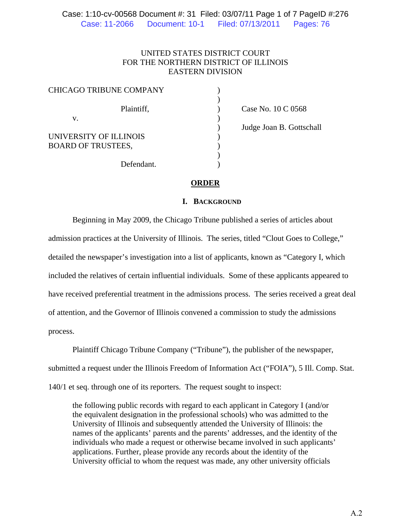### UNITED STATES DISTRICT COURT FOR THE NORTHERN DISTRICT OF ILLINOIS EASTERN DIVISION

| <b>CHICAGO TRIBUNE COMPANY</b> |  |
|--------------------------------|--|
| Plaintiff,                     |  |
| V.                             |  |
| UNIVERSITY OF ILLINOIS         |  |
| <b>BOARD OF TRUSTEES,</b>      |  |
| Defendant.                     |  |

) Case No. 10 C 0568 ) Judge Joan B. Gottschall

### **ORDER**

### **I. BACKGROUND**

 Beginning in May 2009, the Chicago Tribune published a series of articles about admission practices at the University of Illinois. The series, titled "Clout Goes to College," detailed the newspaper's investigation into a list of applicants, known as "Category I, which included the relatives of certain influential individuals. Some of these applicants appeared to have received preferential treatment in the admissions process. The series received a great deal of attention, and the Governor of Illinois convened a commission to study the admissions process.

 Plaintiff Chicago Tribune Company ("Tribune"), the publisher of the newspaper, submitted a request under the Illinois Freedom of Information Act ("FOIA"), 5 Ill. Comp. Stat. 140/1 et seq. through one of its reporters. The request sought to inspect:

the following public records with regard to each applicant in Category I (and/or the equivalent designation in the professional schools) who was admitted to the University of Illinois and subsequently attended the University of Illinois: the names of the applicants' parents and the parents' addresses, and the identity of the individuals who made a request or otherwise became involved in such applicants' applications. Further, please provide any records about the identity of the University official to whom the request was made, any other university officials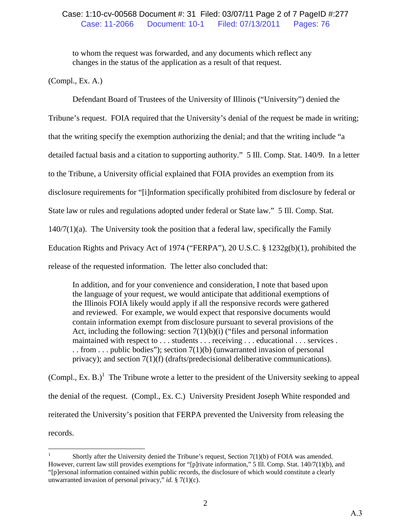to whom the request was forwarded, and any documents which reflect any changes in the status of the application as a result of that request.

(Compl., Ex. A.)

 Defendant Board of Trustees of the University of Illinois ("University") denied the Tribune's request. FOIA required that the University's denial of the request be made in writing;

that the writing specify the exemption authorizing the denial; and that the writing include "a

detailed factual basis and a citation to supporting authority." 5 Ill. Comp. Stat. 140/9. In a letter

to the Tribune, a University official explained that FOIA provides an exemption from its

disclosure requirements for "[i]nformation specifically prohibited from disclosure by federal or

State law or rules and regulations adopted under federal or State law." 5 Ill. Comp. Stat.

 $140/7(1)(a)$ . The University took the position that a federal law, specifically the Family

Education Rights and Privacy Act of 1974 ("FERPA"), 20 U.S.C. § 1232g(b)(1), prohibited the

release of the requested information. The letter also concluded that:

In addition, and for your convenience and consideration, I note that based upon the language of your request, we would anticipate that additional exemptions of the Illinois FOIA likely would apply if all the responsive records were gathered and reviewed. For example, we would expect that responsive documents would contain information exempt from disclosure pursuant to several provisions of the Act, including the following: section  $7(1)(b)(i)$  ("files and personal information") maintained with respect to . . . students . . . receiving . . . educational . . . services . . . from . . . public bodies"); section  $7(1)(b)$  (unwarranted invasion of personal privacy); and section 7(1)(f) (drafts/predecisional deliberative communications).

(Compl., Ex. B.)<sup>1</sup> The Tribune wrote a letter to the president of the University seeking to appeal the denial of the request. (Compl., Ex. C.) University President Joseph White responded and reiterated the University's position that FERPA prevented the University from releasing the records.

 $\frac{1}{1}$  Shortly after the University denied the Tribune's request, Section 7(1)(b) of FOIA was amended. However, current law still provides exemptions for "[p]rivate information," 5 Ill. Comp. Stat. 140/7(1)(b), and "[p]ersonal information contained within public records, the disclosure of which would constitute a clearly unwarranted invasion of personal privacy," *id.* § 7(1)(c).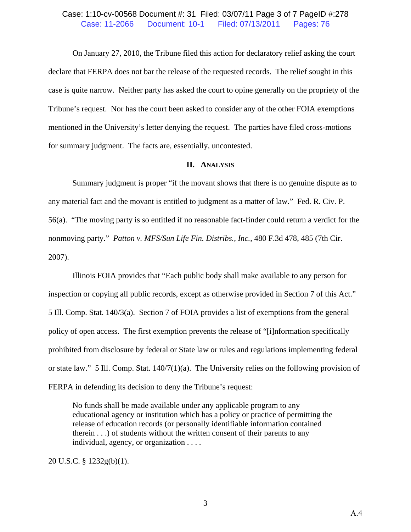### Case: 1:10-cv-00568 Document #: 31 Filed: 03/07/11 Page 3 of 7 PageID #:278 Case: 11-2066 Document: 10-1 Filed: 07/13/2011 Pages: 76

 On January 27, 2010, the Tribune filed this action for declaratory relief asking the court declare that FERPA does not bar the release of the requested records. The relief sought in this case is quite narrow. Neither party has asked the court to opine generally on the propriety of the Tribune's request. Nor has the court been asked to consider any of the other FOIA exemptions mentioned in the University's letter denying the request. The parties have filed cross-motions for summary judgment. The facts are, essentially, uncontested.

#### **II. ANALYSIS**

 Summary judgment is proper "if the movant shows that there is no genuine dispute as to any material fact and the movant is entitled to judgment as a matter of law." Fed. R. Civ. P. 56(a). "The moving party is so entitled if no reasonable fact-finder could return a verdict for the nonmoving party." *Patton v. MFS/Sun Life Fin. Distribs., Inc.*, 480 F.3d 478, 485 (7th Cir. 2007).

 Illinois FOIA provides that "Each public body shall make available to any person for inspection or copying all public records, except as otherwise provided in Section 7 of this Act." 5 Ill. Comp. Stat. 140/3(a). Section 7 of FOIA provides a list of exemptions from the general policy of open access. The first exemption prevents the release of "[i]nformation specifically prohibited from disclosure by federal or State law or rules and regulations implementing federal or state law." 5 Ill. Comp. Stat. 140/7(1)(a). The University relies on the following provision of FERPA in defending its decision to deny the Tribune's request:

No funds shall be made available under any applicable program to any educational agency or institution which has a policy or practice of permitting the release of education records (or personally identifiable information contained therein . . .) of students without the written consent of their parents to any individual, agency, or organization . . . .

20 U.S.C. § 1232g(b)(1).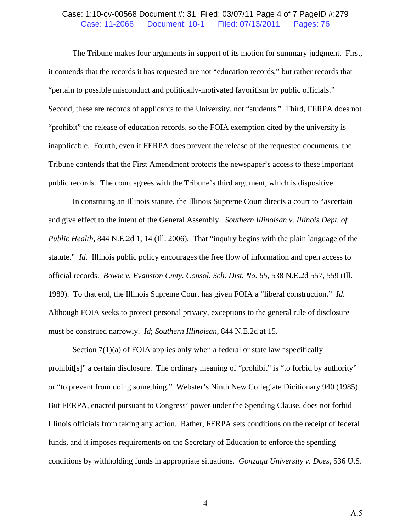### Case: 1:10-cv-00568 Document #: 31 Filed: 03/07/11 Page 4 of 7 PageID #:279 Case: 11-2066 Document: 10-1 Filed: 07/13/2011 Pages: 76

 The Tribune makes four arguments in support of its motion for summary judgment. First, it contends that the records it has requested are not "education records," but rather records that "pertain to possible misconduct and politically-motivated favoritism by public officials." Second, these are records of applicants to the University, not "students." Third, FERPA does not "prohibit" the release of education records, so the FOIA exemption cited by the university is inapplicable. Fourth, even if FERPA does prevent the release of the requested documents, the Tribune contends that the First Amendment protects the newspaper's access to these important public records. The court agrees with the Tribune's third argument, which is dispositive.

 In construing an Illinois statute, the Illinois Supreme Court directs a court to "ascertain and give effect to the intent of the General Assembly. *Southern Illinoisan v. Illinois Dept. of Public Health*, 844 N.E.2d 1, 14 (Ill. 2006). That "inquiry begins with the plain language of the statute." *Id*. Illinois public policy encourages the free flow of information and open access to official records. *Bowie v. Evanston Cmty. Consol. Sch. Dist. No. 65*, 538 N.E.2d 557, 559 (Ill. 1989). To that end, the Illinois Supreme Court has given FOIA a "liberal construction." *Id*. Although FOIA seeks to protect personal privacy, exceptions to the general rule of disclosure must be construed narrowly. *Id*; *Southern Illinoisan*, 844 N.E.2d at 15.

Section 7(1)(a) of FOIA applies only when a federal or state law "specifically prohibit[s]" a certain disclosure. The ordinary meaning of "prohibit" is "to forbid by authority" or "to prevent from doing something." Webster's Ninth New Collegiate Dicitionary 940 (1985). But FERPA, enacted pursuant to Congress' power under the Spending Clause, does not forbid Illinois officials from taking any action. Rather, FERPA sets conditions on the receipt of federal funds, and it imposes requirements on the Secretary of Education to enforce the spending conditions by withholding funds in appropriate situations. *Gonzaga University v. Does*, 536 U.S.

4

A.5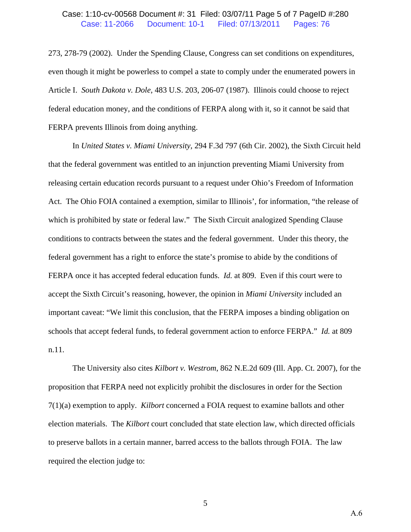### Case: 1:10-cv-00568 Document #: 31 Filed: 03/07/11 Page 5 of 7 PageID #:280 Case: 11-2066 Document: 10-1 Filed: 07/13/2011 Pages: 76

273, 278-79 (2002). Under the Spending Clause, Congress can set conditions on expenditures, even though it might be powerless to compel a state to comply under the enumerated powers in Article I. *South Dakota v. Dole*, 483 U.S. 203, 206-07 (1987). Illinois could choose to reject federal education money, and the conditions of FERPA along with it, so it cannot be said that FERPA prevents Illinois from doing anything.

 In *United States v. Miami University*, 294 F.3d 797 (6th Cir. 2002), the Sixth Circuit held that the federal government was entitled to an injunction preventing Miami University from releasing certain education records pursuant to a request under Ohio's Freedom of Information Act. The Ohio FOIA contained a exemption, similar to Illinois', for information, "the release of which is prohibited by state or federal law." The Sixth Circuit analogized Spending Clause conditions to contracts between the states and the federal government. Under this theory, the federal government has a right to enforce the state's promise to abide by the conditions of FERPA once it has accepted federal education funds. *Id.* at 809. Even if this court were to accept the Sixth Circuit's reasoning, however, the opinion in *Miami University* included an important caveat: "We limit this conclusion, that the FERPA imposes a binding obligation on schools that accept federal funds, to federal government action to enforce FERPA." *Id.* at 809 n.11.

 The University also cites *Kilbort v. Westrom*, 862 N.E.2d 609 (Ill. App. Ct. 2007), for the proposition that FERPA need not explicitly prohibit the disclosures in order for the Section 7(1)(a) exemption to apply. *Kilbort* concerned a FOIA request to examine ballots and other election materials. The *Kilbort* court concluded that state election law, which directed officials to preserve ballots in a certain manner, barred access to the ballots through FOIA. The law required the election judge to: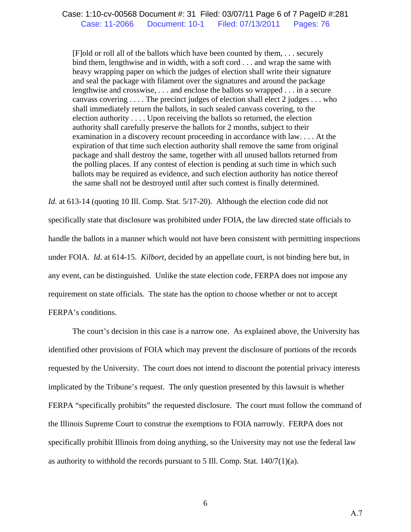[F]old or roll all of the ballots which have been counted by them, . . . securely bind them, lengthwise and in width, with a soft cord . . . and wrap the same with heavy wrapping paper on which the judges of election shall write their signature and seal the package with filament over the signatures and around the package lengthwise and crosswise, . . . and enclose the ballots so wrapped . . . in a secure canvass covering . . . . The precinct judges of election shall elect 2 judges . . . who shall immediately return the ballots, in such sealed canvass covering, to the election authority . . . . Upon receiving the ballots so returned, the election authority shall carefully preserve the ballots for 2 months, subject to their examination in a discovery recount proceeding in accordance with law. . . . At the expiration of that time such election authority shall remove the same from original package and shall destroy the same, together with all unused ballots returned from the polling places. If any contest of election is pending at such time in which such ballots may be required as evidence, and such election authority has notice thereof the same shall not be destroyed until after such contest is finally determined.

*Id.* at 613-14 (quoting 10 Ill. Comp. Stat. 5/17-20). Although the election code did not

specifically state that disclosure was prohibited under FOIA, the law directed state officials to handle the ballots in a manner which would not have been consistent with permitting inspections under FOIA. *Id.* at 614-15. *Kilbort*, decided by an appellate court, is not binding here but, in any event, can be distinguished. Unlike the state election code, FERPA does not impose any requirement on state officials. The state has the option to choose whether or not to accept FERPA's conditions.

 The court's decision in this case is a narrow one. As explained above, the University has identified other provisions of FOIA which may prevent the disclosure of portions of the records requested by the University. The court does not intend to discount the potential privacy interests implicated by the Tribune's request. The only question presented by this lawsuit is whether FERPA "specifically prohibits" the requested disclosure. The court must follow the command of the Illinois Supreme Court to construe the exemptions to FOIA narrowly. FERPA does not specifically prohibit Illinois from doing anything, so the University may not use the federal law as authority to withhold the records pursuant to 5 Ill. Comp. Stat.  $140/7(1)(a)$ .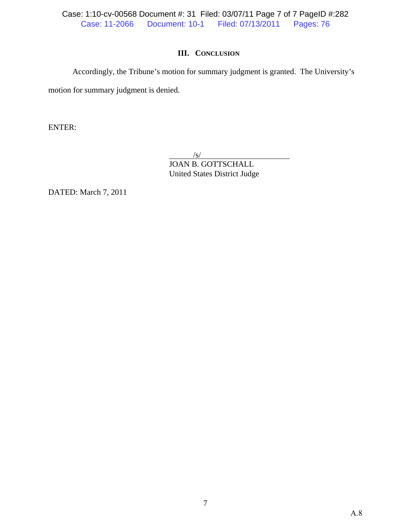Case: 1:10-cv-00568 Document #: 31 Filed: 03/07/11 Page 7 of 7 PageID #:282 Case: 11-2066 Document: 10-1 Filed: 07/13/2011 Pages: 76

## **III. CONCLUSION**

 Accordingly, the Tribune's motion for summary judgment is granted. The University's motion for summary judgment is denied.

ENTER:

 $/$ s/ JOAN B. GOTTSCHALL United States District Judge

DATED: March 7, 2011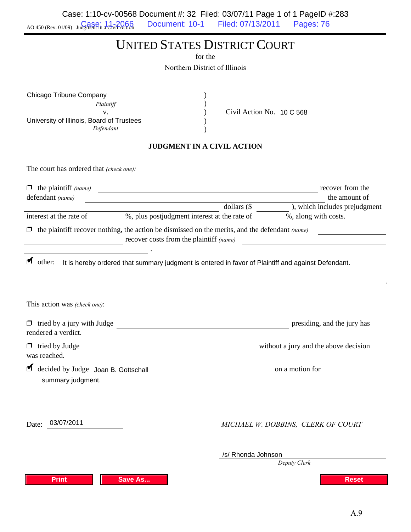AO 450 (Rev. 01/09) Judgment in a Civil Action Case: 1:10-cv-00568 Document #: 32 Filed: 03/07/11 Page 1 of 1 PageID #:283 Document: 10-1 Filed: 07/13/2011 Pages: 76

# UNITED STATES DISTRICT COURT

for the

Northern District of Illinois

| Chicago Tribune Company                   |  |                           |
|-------------------------------------------|--|---------------------------|
| Plaintiff                                 |  |                           |
|                                           |  | Civil Action No. 10 C 568 |
| University of Illinois, Board of Trustees |  |                           |
| Defendant                                 |  |                           |

#### **JUDGMENT IN A CIVIL ACTION**

The court has ordered that *(check one):*

| $\Box$ the plaintiff (name)<br>defendant (name)          | <u> 1989 - Johann Barn, mars ann an t-Amhain Aonaich an t-Aonaich an t-Aonaich ann an t-Aonaich ann an t-Aonaich</u>                             | recover from the<br>the amount of     |
|----------------------------------------------------------|--------------------------------------------------------------------------------------------------------------------------------------------------|---------------------------------------|
|                                                          | dollars $(\$                                                                                                                                     | ), which includes prejudgment         |
| interest at the rate of                                  | %, plus postjudgment interest at the rate of %, along with costs.                                                                                |                                       |
|                                                          | $\Box$ the plaintiff recover nothing, the action be dismissed on the merits, and the defendant (name)<br>recover costs from the plaintiff (name) |                                       |
|                                                          | other: It is hereby ordered that summary judgment is entered in favor of Plaintiff and against Defendant.                                        |                                       |
|                                                          |                                                                                                                                                  |                                       |
| This action was (check one):                             |                                                                                                                                                  |                                       |
| rendered a verdict.                                      | □ tried by a jury with Judge                                                                                                                     | presiding, and the jury has           |
| $\Box$ tried by Judge<br>was reached.                    |                                                                                                                                                  | without a jury and the above decision |
| decided by Judge Joan B. Gottschall<br>summary judgment. |                                                                                                                                                  | on a motion for                       |
| 03/07/2011<br>Date:                                      |                                                                                                                                                  | MICHAEL W. DOBBINS, CLERK OF COURT    |
|                                                          |                                                                                                                                                  | /s/ Rhonda Johnson<br>Deputy Clerk    |
| <b>Print</b>                                             | <b>Save As</b>                                                                                                                                   | <b>Reset</b>                          |

.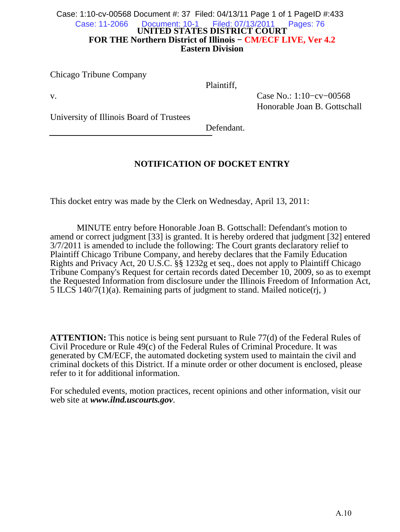#### **UNITED STATES DISTRICT COURT FOR THE Northern District of Illinois − CM/ECF LIVE, Ver 4.2 Eastern Division** Case: 1:10-cv-00568 Document #: 37 Filed: 04/13/11 Page 1 of 1 PageID #:433 Case: 11-2066 Document: 10-1 Filed: 07/13/2011 Pages: 76

Chicago Tribune Company

Plaintiff,

v. Case No.: 1:10−cv−00568 Honorable Joan B. Gottschall

University of Illinois Board of Trustees

Defendant.

# **NOTIFICATION OF DOCKET ENTRY**

This docket entry was made by the Clerk on Wednesday, April 13, 2011:

 MINUTE entry before Honorable Joan B. Gottschall: Defendant's motion to amend or correct judgment [33] is granted. It is hereby ordered that judgment [32] entered 3/7/2011 is amended to include the following: The Court grants declaratory relief to Plaintiff Chicago Tribune Company, and hereby declares that the Family Education Rights and Privacy Act, 20 U.S.C. §§ 1232g et seq., does not apply to Plaintiff Chicago Tribune Company's Request for certain records dated December 10, 2009, so as to exempt the Requested Information from disclosure under the Illinois Freedom of Information Act, 5 ILCS 140/7(1)(a). Remaining parts of judgment to stand. Mailed notice(rj, )

**ATTENTION:** This notice is being sent pursuant to Rule 77(d) of the Federal Rules of Civil Procedure or Rule 49(c) of the Federal Rules of Criminal Procedure. It was generated by CM/ECF, the automated docketing system used to maintain the civil and criminal dockets of this District. If a minute order or other document is enclosed, please refer to it for additional information.

For scheduled events, motion practices, recent opinions and other information, visit our web site at *www.ilnd.uscourts.gov*.